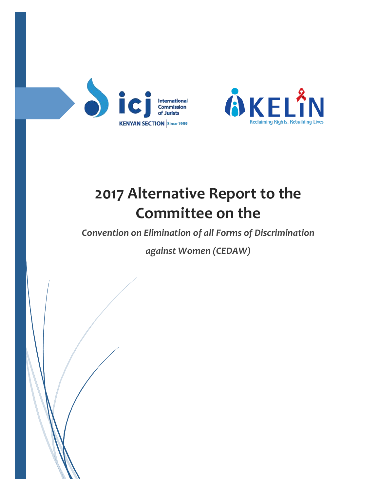



# **2017 Alternative Report to the Committee on the**

*Convention on Elimination of all Forms of Discrimination* 

*against Women (CEDAW)*

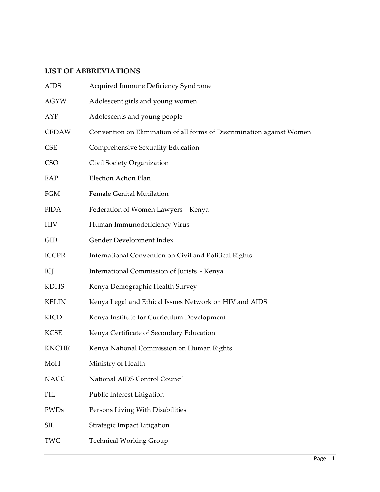# **LIST OF ABBREVIATIONS**

| <b>AIDS</b>  | Acquired Immune Deficiency Syndrome                                    |
|--------------|------------------------------------------------------------------------|
| <b>AGYW</b>  | Adolescent girls and young women                                       |
| AYP          | Adolescents and young people                                           |
| <b>CEDAW</b> | Convention on Elimination of all forms of Discrimination against Women |
| <b>CSE</b>   | Comprehensive Sexuality Education                                      |
| <b>CSO</b>   | Civil Society Organization                                             |
| EAP          | <b>Election Action Plan</b>                                            |
| <b>FGM</b>   | <b>Female Genital Mutilation</b>                                       |
| <b>FIDA</b>  | Federation of Women Lawyers - Kenya                                    |
| <b>HIV</b>   | Human Immunodeficiency Virus                                           |
| <b>GID</b>   | Gender Development Index                                               |
| <b>ICCPR</b> | International Convention on Civil and Political Rights                 |
| ICJ          | International Commission of Jurists - Kenya                            |
| <b>KDHS</b>  | Kenya Demographic Health Survey                                        |
| <b>KELIN</b> | Kenya Legal and Ethical Issues Network on HIV and AIDS                 |
| <b>KICD</b>  | Kenya Institute for Curriculum Development                             |
| <b>KCSE</b>  | Kenya Certificate of Secondary Education                               |
| <b>KNCHR</b> | Kenya National Commission on Human Rights                              |
| MoH          | Ministry of Health                                                     |
| <b>NACC</b>  | National AIDS Control Council                                          |
| PIL          | Public Interest Litigation                                             |
| PWDs         | Persons Living With Disabilities                                       |
| <b>SIL</b>   | Strategic Impact Litigation                                            |
| <b>TWG</b>   | <b>Technical Working Group</b>                                         |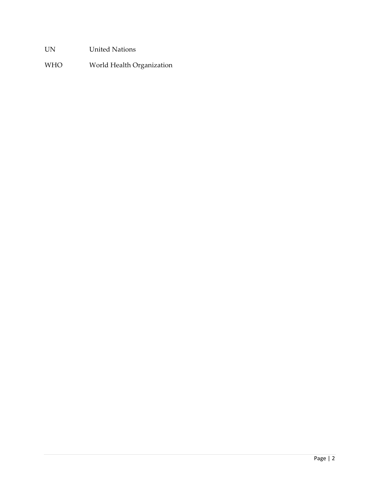UN United Nations

WHO World Health Organization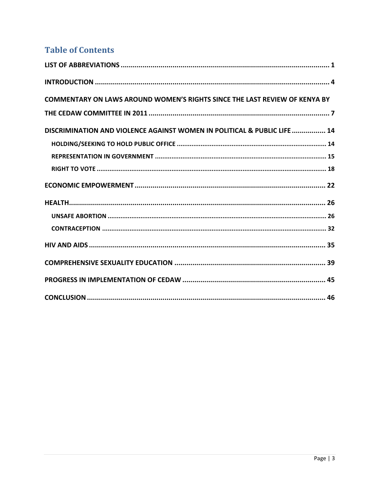# **Table of Contents**

| <b>COMMENTARY ON LAWS AROUND WOMEN'S RIGHTS SINCE THE LAST REVIEW OF KENYA BY</b> |
|-----------------------------------------------------------------------------------|
|                                                                                   |
| DISCRIMINATION AND VIOLENCE AGAINST WOMEN IN POLITICAL & PUBLIC LIFE  14          |
|                                                                                   |
|                                                                                   |
|                                                                                   |
|                                                                                   |
|                                                                                   |
|                                                                                   |
|                                                                                   |
|                                                                                   |
|                                                                                   |
|                                                                                   |
|                                                                                   |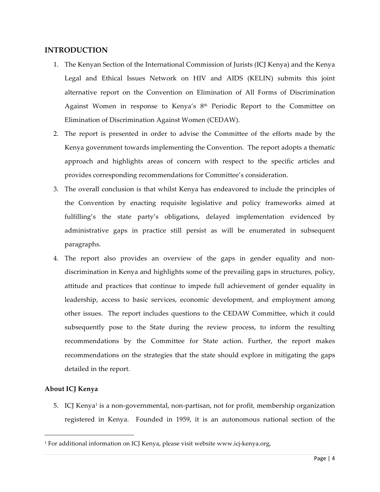#### **INTRODUCTION**

- 1. The Kenyan Section of the International Commission of Jurists (ICJ Kenya) and the Kenya Legal and Ethical Issues Network on HIV and AIDS (KELIN) submits this joint alternative report on the Convention on Elimination of All Forms of Discrimination Against Women in response to Kenya's 8<sup>th</sup> Periodic Report to the Committee on Elimination of Discrimination Against Women (CEDAW).
- 2. The report is presented in order to advise the Committee of the efforts made by the Kenya government towards implementing the Convention. The report adopts a thematic approach and highlights areas of concern with respect to the specific articles and provides corresponding recommendations for Committee's consideration.
- 3. The overall conclusion is that whilst Kenya has endeavored to include the principles of the Convention by enacting requisite legislative and policy frameworks aimed at fulfilling's the state party's obligations, delayed implementation evidenced by administrative gaps in practice still persist as will be enumerated in subsequent paragraphs.
- 4. The report also provides an overview of the gaps in gender equality and nondiscrimination in Kenya and highlights some of the prevailing gaps in structures, policy, attitude and practices that continue to impede full achievement of gender equality in leadership, access to basic services, economic development, and employment among other issues. The report includes questions to the CEDAW Committee, which it could subsequently pose to the State during the review process, to inform the resulting recommendations by the Committee for State action. Further, the report makes recommendations on the strategies that the state should explore in mitigating the gaps detailed in the report.

#### **About ICJ Kenya**

 $\overline{a}$ 

5. ICJ Kenya<sup>1</sup> is a non-governmental, non-partisan, not for profit, membership organization registered in Kenya. Founded in 1959, it is an autonomous national section of the

<sup>1</sup> For additional information on ICJ Kenya, please visit website www.icj-kenya.org,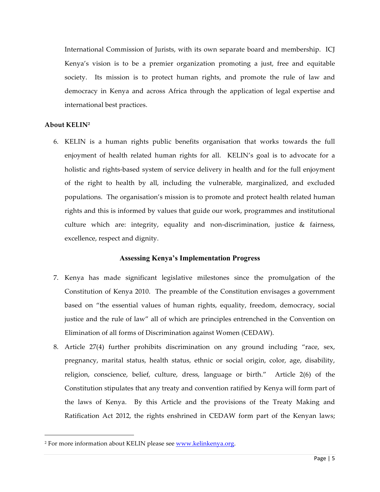International Commission of Jurists, with its own separate board and membership. ICJ Kenya's vision is to be a premier organization promoting a just, free and equitable society. Its mission is to protect human rights, and promote the rule of law and democracy in Kenya and across Africa through the application of legal expertise and international best practices.

#### **About KELIN2**

 $\overline{a}$ 

6. KELIN is a human rights public benefits organisation that works towards the full enjoyment of health related human rights for all. KELIN's goal is to advocate for a holistic and rights-based system of service delivery in health and for the full enjoyment of the right to health by all, including the vulnerable, marginalized, and excluded populations. The organisation's mission is to promote and protect health related human rights and this is informed by values that guide our work, programmes and institutional culture which are: integrity, equality and non-discrimination, justice & fairness, excellence, respect and dignity.

#### **Assessing Kenya's Implementation Progress**

- 7. Kenya has made significant legislative milestones since the promulgation of the Constitution of Kenya 2010. The preamble of the Constitution envisages a government based on "the essential values of human rights, equality, freedom, democracy, social justice and the rule of law" all of which are principles entrenched in the Convention on Elimination of all forms of Discrimination against Women (CEDAW).
- 8. Article 27(4) further prohibits discrimination on any ground including "race, sex, pregnancy, marital status, health status, ethnic or social origin, color, age, disability, religion, conscience, belief, culture, dress, language or birth." Article 2(6) of the Constitution stipulates that any treaty and convention ratified by Kenya will form part of the laws of Kenya. By this Article and the provisions of the Treaty Making and Ratification Act 2012, the rights enshrined in CEDAW form part of the Kenyan laws;

<sup>&</sup>lt;sup>2</sup> For more information about KELIN please see www.kelinkenya.org.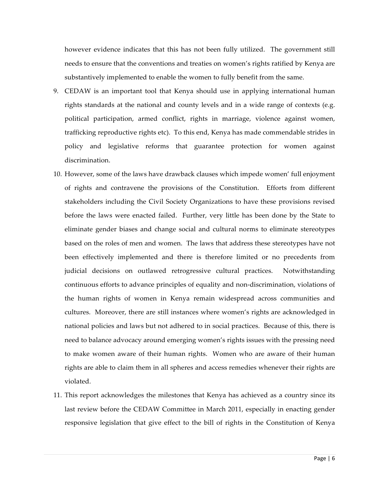however evidence indicates that this has not been fully utilized. The government still needs to ensure that the conventions and treaties on women's rights ratified by Kenya are substantively implemented to enable the women to fully benefit from the same.

- 9. CEDAW is an important tool that Kenya should use in applying international human rights standards at the national and county levels and in a wide range of contexts (e.g. political participation, armed conflict, rights in marriage, violence against women, trafficking reproductive rights etc). To this end, Kenya has made commendable strides in policy and legislative reforms that guarantee protection for women against discrimination.
- 10. However, some of the laws have drawback clauses which impede women' full enjoyment of rights and contravene the provisions of the Constitution. Efforts from different stakeholders including the Civil Society Organizations to have these provisions revised before the laws were enacted failed. Further, very little has been done by the State to eliminate gender biases and change social and cultural norms to eliminate stereotypes based on the roles of men and women. The laws that address these stereotypes have not been effectively implemented and there is therefore limited or no precedents from judicial decisions on outlawed retrogressive cultural practices. Notwithstanding continuous efforts to advance principles of equality and non-discrimination, violations of the human rights of women in Kenya remain widespread across communities and cultures. Moreover, there are still instances where women's rights are acknowledged in national policies and laws but not adhered to in social practices. Because of this, there is need to balance advocacy around emerging women's rights issues with the pressing need to make women aware of their human rights. Women who are aware of their human rights are able to claim them in all spheres and access remedies whenever their rights are violated.
- 11. This report acknowledges the milestones that Kenya has achieved as a country since its last review before the CEDAW Committee in March 2011, especially in enacting gender responsive legislation that give effect to the bill of rights in the Constitution of Kenya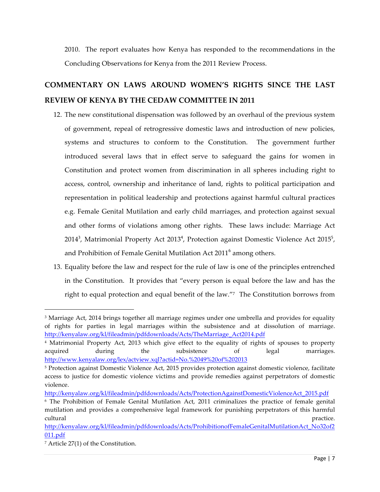2010. The report evaluates how Kenya has responded to the recommendations in the Concluding Observations for Kenya from the 2011 Review Process.

# **COMMENTARY ON LAWS AROUND WOMEN'S RIGHTS SINCE THE LAST REVIEW OF KENYA BY THE CEDAW COMMITTEE IN 2011**

- 12. The new constitutional dispensation was followed by an overhaul of the previous system of government, repeal of retrogressive domestic laws and introduction of new policies, systems and structures to conform to the Constitution. The government further introduced several laws that in effect serve to safeguard the gains for women in Constitution and protect women from discrimination in all spheres including right to access, control, ownership and inheritance of land, rights to political participation and representation in political leadership and protections against harmful cultural practices e.g. Female Genital Mutilation and early child marriages, and protection against sexual and other forms of violations among other rights. These laws include: Marriage Act 2014<sup>3</sup>, Matrimonial Property Act 2013<sup>4</sup>, Protection against Domestic Violence Act 2015<sup>5</sup>, and Prohibition of Female Genital Mutilation Act 2011<sup>6</sup> among others.
- 13. Equality before the law and respect for the rule of law is one of the principles entrenched in the Constitution. It provides that "every person is equal before the law and has the right to equal protection and equal benefit of the law."7 The Constitution borrows from

<sup>&</sup>lt;sup>3</sup> Marriage Act, 2014 brings together all marriage regimes under one umbrella and provides for equality of rights for parties in legal marriages within the subsistence and at dissolution of marriage. http://kenyalaw.org/kl/fileadmin/pdfdownloads/Acts/TheMarriage\_Act2014.pdf

<sup>4</sup> Matrimonial Property Act, 2013 which give effect to the equality of rights of spouses to property acquired during the subsistence of legal marriages. http://www.kenyalaw.org/lex/actview.xql?actid=No.%2049%20of%202013

<sup>5</sup> Protection against Domestic Violence Act, 2015 provides protection against domestic violence, facilitate access to justice for domestic violence victims and provide remedies against perpetrators of domestic violence.

http://kenyalaw.org/kl/fileadmin/pdfdownloads/Acts/ProtectionAgainstDomesticViolenceAct\_2015.pdf

<sup>6</sup> The Prohibition of Female Genital Mutilation Act, 2011 criminalizes the practice of female genital mutilation and provides a comprehensive legal framework for punishing perpetrators of this harmful cultural practice.

http://kenyalaw.org/kl/fileadmin/pdfdownloads/Acts/ProhibitionofFemaleGenitalMutilationAct\_No32of2 011.pdf

<sup>7</sup> Article 27(1) of the Constitution.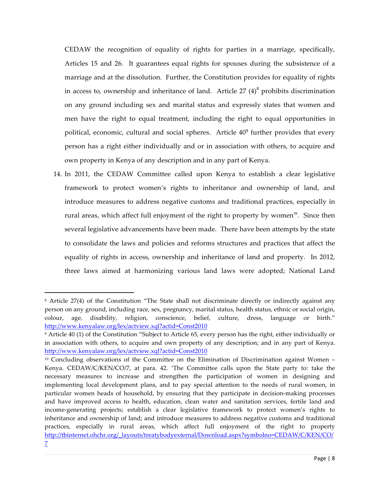CEDAW the recognition of equality of rights for parties in a marriage, specifically, Articles 15 and 26. It guarantees equal rights for spouses during the subsistence of a marriage and at the dissolution. Further, the Constitution provides for equality of rights in access to, ownership and inheritance of land. Article  $27 (4)^8$  prohibits discrimination on any ground including sex and marital status and expressly states that women and men have the right to equal treatment, including the right to equal opportunities in political, economic, cultural and social spheres. Article  $40^9$  further provides that every person has a right either individually and or in association with others, to acquire and own property in Kenya of any description and in any part of Kenya.

14. In 2011, the CEDAW Committee called upon Kenya to establish a clear legislative framework to protect women's rights to inheritance and ownership of land, and introduce measures to address negative customs and traditional practices, especially in rural areas, which affect full enjoyment of the right to property by women<sup>10</sup>. Since then several legislative advancements have been made. There have been attempts by the state to consolidate the laws and policies and reforms structures and practices that affect the equality of rights in access, ownership and inheritance of land and property. In 2012, three laws aimed at harmonizing various land laws were adopted; National Land

<sup>8</sup> Article 27(4) of the Constitution "The State shall not discriminate directly or indirectly against any person on any ground, including race, sex, pregnancy, marital status, health status, ethnic or social origin, colour, age, disability, religion, conscience, belief, culture, dress, language or birth." http://www.kenyalaw.org/lex/actview.xql?actid=Const2010

<sup>9</sup> Article 40 (1) of the Constitution "Subject to Article 65, every person has the right, either individually or in association with others, to acquire and own property of any description; and in any part of Kenya. http://www.kenyalaw.org/lex/actview.xql?actid=Const2010

 $10$  Concluding observations of the Committee on the Elimination of Discrimination against Women – Kenya. CEDAW/C/KEN/CO/7, at para. 42. 'The Committee calls upon the State party to: take the necessary measures to increase and strengthen the participation of women in designing and implementing local development plans, and to pay special attention to the needs of rural women, in particular women heads of household, by ensuring that they participate in decision-making processes and have improved access to health, education, clean water and sanitation services, fertile land and income-generating projects; establish a clear legislative framework to protect women's rights to inheritance and ownership of land; and introduce measures to address negative customs and traditional practices, especially in rural areas, which affect full enjoyment of the right to property http://tbinternet.ohchr.org/\_layouts/treatybodyexternal/Download.aspx?symbolno=CEDAW/C/KEN/CO/

<sup>7</sup>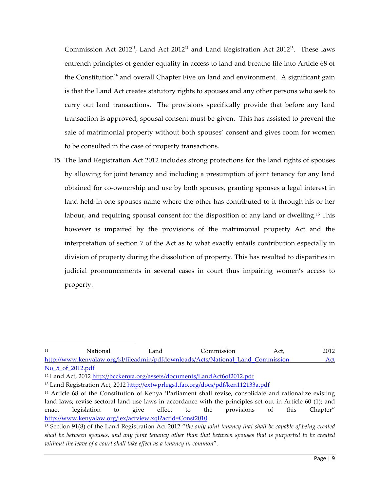Commission Act 2012<sup>11</sup>, Land Act 2012<sup>12</sup> and Land Registration Act 2012<sup>13</sup>. These laws entrench principles of gender equality in access to land and breathe life into Article 68 of the Constitution<sup>14</sup> and overall Chapter Five on land and environment. A significant gain is that the Land Act creates statutory rights to spouses and any other persons who seek to carry out land transactions. The provisions specifically provide that before any land transaction is approved, spousal consent must be given. This has assisted to prevent the sale of matrimonial property without both spouses' consent and gives room for women to be consulted in the case of property transactions.

15. The land Registration Act 2012 includes strong protections for the land rights of spouses by allowing for joint tenancy and including a presumption of joint tenancy for any land obtained for co-ownership and use by both spouses, granting spouses a legal interest in land held in one spouses name where the other has contributed to it through his or her labour, and requiring spousal consent for the disposition of any land or dwelling.15 This however is impaired by the provisions of the matrimonial property Act and the interpretation of section 7 of the Act as to what exactly entails contribution especially in division of property during the dissolution of property. This has resulted to disparities in judicial pronouncements in several cases in court thus impairing women's access to property.

<sup>11</sup> National Land Commission Act, 2012 http://www.kenyalaw.org/kl/fileadmin/pdfdownloads/Acts/National\_Land\_Commission Act No\_5\_of\_2012.pdf

<sup>12</sup> Land Act, 2012 http://bcckenya.org/assets/documents/LandAct6of2012.pdf

<sup>13</sup> Land Registration Act, 2012 http://extwprlegs1.fao.org/docs/pdf/ken112133a.pdf

<sup>14</sup> Article 68 of the Constitution of Kenya 'Parliament shall revise, consolidate and rationalize existing land laws; revise sectoral land use laws in accordance with the principles set out in Article 60 (1); and enact legislation to give effect to the provisions of this Chapter" http://www.kenyalaw.org/lex/actview.xql?actid=Const2010

<sup>15</sup> Section 91(8) of the Land Registration Act 2012 "*the only joint tenancy that shall be capable of being created shall be between spouses, and any joint tenancy other than that between spouses that is purported to be created without the leave of a court shall take effect as a tenancy in common*".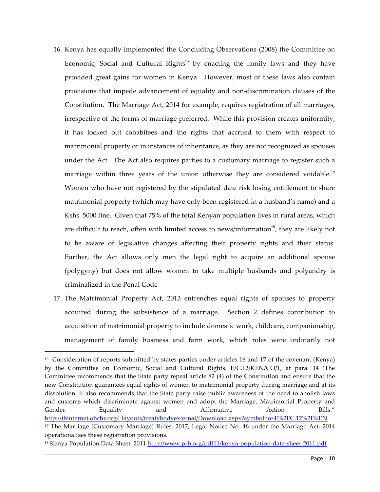- 16. Kenya has equally implemented the Concluding Observations (2008) the Committee on Economic, Social and Cultural Rights<sup>16</sup> by enacting the family laws and they have provided great gains for women in Kenya. However, most of these laws also contain provisions that impede advancement of equality and non-discrimination clauses of the Constitution. The Marriage Act, 2014 for example, requires registration of all marriages, irrespective of the forms of marriage preferred. While this provision creates uniformity, it has locked out cohabitees and the rights that accrued to them with respect to matrimonial property or in instances of inheritance, as they are not recognized as spouses under the Act. The Act also requires parties to a customary marriage to register such a marriage within three years of the union otherwise they are considered voidable.<sup>17</sup> Women who have not registered by the stipulated date risk losing entitlement to share matrimonial property (which may have only been registered in a husband's name) and a Kshs. 5000 fine. Given that 75% of the total Kenyan population lives in rural areas, which are difficult to reach, often with limited access to news/information $18$ , they are likely not to be aware of legislative changes affecting their property rights and their status. Further, the Act allows only men the legal right to acquire an additional spouse (polygyny) but does not allow women to take multiple husbands and polyandry is criminalized in the Penal Code
- 17. The Matrimonial Property Act, 2013 entrenches equal rights of spouses to property acquired during the subsistence of a marriage. Section 2 defines contribution to acquisition of matrimonial property to include domestic work, childcare, companionship, management of family business and farm work, which roles were ordinarily not

<sup>16</sup> Consideration of reports submitted by states parties under articles 16 and 17 of the covenant (Kenya) by the Committee on Economic, Social and Cultural Rights. E/C.12/KEN/CO/1, at para. 14 'The Committee recommends that the State party repeal article 82 (4) of the Constitution and ensure that the new Constitution guarantees equal rights of women to matrimonial property during marriage and at its dissolution. It also recommends that the State party raise public awareness of the need to abolish laws and customs which discriminate against women and adopt the Marriage, Matrimonial Property and Gender Equality and Affirmative Action Bills." http://tbinternet.ohchr.org/\_layouts/treatybodyexternal/Download.aspx?symbolno=E%2FC.12%2FKEN <sup>17</sup> The Marriage (Customary Marriage) Rules, 2017, Legal Notice No. 46 under the Marriage Act, 2014 operationalizes these registration provisions.

<sup>18</sup> Kenya Population Data Sheet, 2011 http://www.prb.org/pdf11/kenya-population-data-sheet-2011.pdf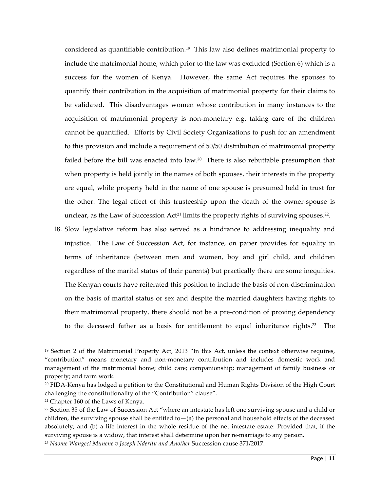considered as quantifiable contribution.<sup>19</sup> This law also defines matrimonial property to include the matrimonial home, which prior to the law was excluded (Section 6) which is a success for the women of Kenya. However, the same Act requires the spouses to quantify their contribution in the acquisition of matrimonial property for their claims to be validated. This disadvantages women whose contribution in many instances to the acquisition of matrimonial property is non-monetary e.g. taking care of the children cannot be quantified. Efforts by Civil Society Organizations to push for an amendment to this provision and include a requirement of 50/50 distribution of matrimonial property failed before the bill was enacted into law.<sup>20</sup> There is also rebuttable presumption that when property is held jointly in the names of both spouses, their interests in the property are equal, while property held in the name of one spouse is presumed held in trust for the other. The legal effect of this trusteeship upon the death of the owner-spouse is unclear, as the Law of Succession  $Act^{21}$  limits the property rights of surviving spouses.<sup>22</sup>.

18. Slow legislative reform has also served as a hindrance to addressing inequality and injustice. The Law of Succession Act, for instance, on paper provides for equality in terms of inheritance (between men and women, boy and girl child, and children regardless of the marital status of their parents) but practically there are some inequities. The Kenyan courts have reiterated this position to include the basis of non-discrimination on the basis of marital status or sex and despite the married daughters having rights to their matrimonial property, there should not be a pre-condition of proving dependency to the deceased father as a basis for entitlement to equal inheritance rights.<sup>23</sup> The

<sup>19</sup> Section 2 of the Matrimonial Property Act, 2013 "In this Act, unless the context otherwise requires, "contribution" means monetary and non-monetary contribution and includes domestic work and management of the matrimonial home; child care; companionship; management of family business or property; and farm work.

<sup>20</sup> FIDA-Kenya has lodged a petition to the Constitutional and Human Rights Division of the High Court challenging the constitutionality of the "Contribution" clause".

<sup>21</sup> Chapter 160 of the Laws of Kenya.

<sup>&</sup>lt;sup>22</sup> Section 35 of the Law of Succession Act "where an intestate has left one surviving spouse and a child or children, the surviving spouse shall be entitled to—(a) the personal and household effects of the deceased absolutely; and (b) a life interest in the whole residue of the net intestate estate: Provided that, if the surviving spouse is a widow, that interest shall determine upon her re-marriage to any person.

<sup>23</sup> *Naome Wangeci Munene v Joseph Nderitu and Another* Succession cause 371/2017.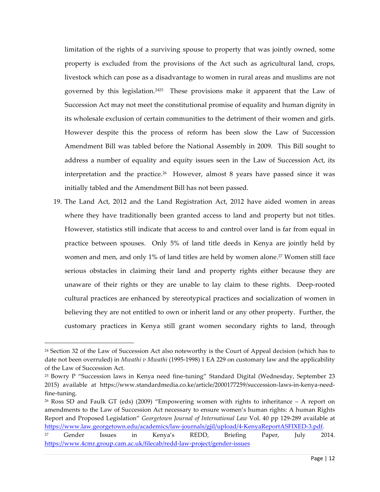limitation of the rights of a surviving spouse to property that was jointly owned, some property is excluded from the provisions of the Act such as agricultural land, crops, livestock which can pose as a disadvantage to women in rural areas and muslims are not governed by this legislation. 2425 These provisions make it apparent that the Law of Succession Act may not meet the constitutional promise of equality and human dignity in its wholesale exclusion of certain communities to the detriment of their women and girls. However despite this the process of reform has been slow the Law of Succession Amendment Bill was tabled before the National Assembly in 2009. This Bill sought to address a number of equality and equity issues seen in the Law of Succession Act, its interpretation and the practice.<sup>26</sup> However, almost 8 years have passed since it was initially tabled and the Amendment Bill has not been passed.

19. The Land Act, 2012 and the Land Registration Act, 2012 have aided women in areas where they have traditionally been granted access to land and property but not titles. However, statistics still indicate that access to and control over land is far from equal in practice between spouses. Only 5% of land title deeds in Kenya are jointly held by women and men, and only 1% of land titles are held by women alone.<sup>27</sup> Women still face serious obstacles in claiming their land and property rights either because they are unaware of their rights or they are unable to lay claim to these rights. Deep-rooted cultural practices are enhanced by stereotypical practices and socialization of women in believing they are not entitled to own or inherit land or any other property. Further, the customary practices in Kenya still grant women secondary rights to land, through

<sup>&</sup>lt;sup>24</sup> Section 32 of the Law of Succession Act also noteworthy is the Court of Appeal decision (which has to date not been overruled) in *Mwathi v Mwathi* (1995-1998) 1 EA 229 on customary law and the applicability of the Law of Succession Act.

<sup>25</sup> Bowry P "Succession laws in Kenya need fine-tuning" Standard Digital (Wednesday, September 23 2015) available at https://www.standardmedia.co.ke/article/2000177259/succession-laws-in-kenya-needfine-tuning.

 $26$  Ross SD and Faulk GT (eds) (2009) "Empowering women with rights to inheritance – A report on amendments to the Law of Succession Act necessary to ensure women's human rights: A human Rights Report and Proposed Legislation" *Georgetown Journal of International Law* Vol. 40 pp 129-289 available at https://www.law.georgetown.edu/academics/law-journals/gjil/upload/4-KenyaReportASFIXED-3.pdf.

<sup>27</sup> Gender Issues in Kenya's REDD, Briefing Paper, July 2014. https://www.4cmr.group.cam.ac.uk/filecab/redd-law-project/gender-issues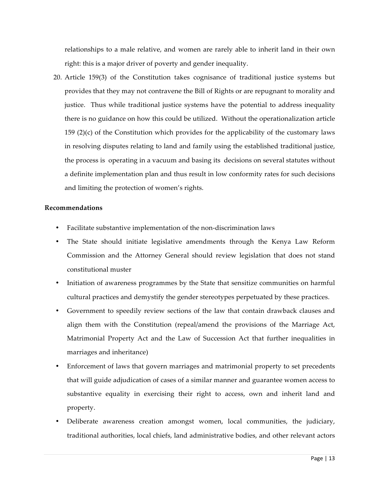relationships to a male relative, and women are rarely able to inherit land in their own right: this is a major driver of poverty and gender inequality.

20. Article 159(3) of the Constitution takes cognisance of traditional justice systems but provides that they may not contravene the Bill of Rights or are repugnant to morality and justice. Thus while traditional justice systems have the potential to address inequality there is no guidance on how this could be utilized. Without the operationalization article 159 (2)(c) of the Constitution which provides for the applicability of the customary laws in resolving disputes relating to land and family using the established traditional justice, the process is operating in a vacuum and basing its decisions on several statutes without a definite implementation plan and thus result in low conformity rates for such decisions and limiting the protection of women's rights.

#### **Recommendations**

- Facilitate substantive implementation of the non-discrimination laws
- The State should initiate legislative amendments through the Kenya Law Reform Commission and the Attorney General should review legislation that does not stand constitutional muster
- Initiation of awareness programmes by the State that sensitize communities on harmful cultural practices and demystify the gender stereotypes perpetuated by these practices.
- Government to speedily review sections of the law that contain drawback clauses and align them with the Constitution (repeal/amend the provisions of the Marriage Act, Matrimonial Property Act and the Law of Succession Act that further inequalities in marriages and inheritance)
- Enforcement of laws that govern marriages and matrimonial property to set precedents that will guide adjudication of cases of a similar manner and guarantee women access to substantive equality in exercising their right to access, own and inherit land and property.
- Deliberate awareness creation amongst women, local communities, the judiciary, traditional authorities, local chiefs, land administrative bodies, and other relevant actors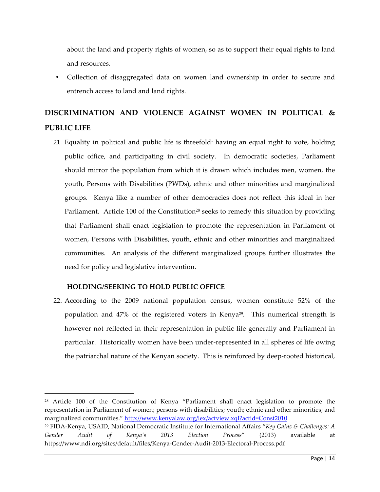about the land and property rights of women, so as to support their equal rights to land and resources.

• Collection of disaggregated data on women land ownership in order to secure and entrench access to land and land rights.

# **DISCRIMINATION AND VIOLENCE AGAINST WOMEN IN POLITICAL & PUBLIC LIFE**

21. Equality in political and public life is threefold: having an equal right to vote, holding public office, and participating in civil society. In democratic societies, Parliament should mirror the population from which it is drawn which includes men, women, the youth, Persons with Disabilities (PWDs), ethnic and other minorities and marginalized groups. Kenya like a number of other democracies does not reflect this ideal in her Parliament. Article 100 of the Constitution<sup>28</sup> seeks to remedy this situation by providing that Parliament shall enact legislation to promote the representation in Parliament of women, Persons with Disabilities, youth, ethnic and other minorities and marginalized communities. An analysis of the different marginalized groups further illustrates the need for policy and legislative intervention.

# **HOLDING/SEEKING TO HOLD PUBLIC OFFICE**

 $\overline{a}$ 

22. According to the 2009 national population census, women constitute 52% of the population and  $47\%$  of the registered voters in Kenya<sup>29</sup>. This numerical strength is however not reflected in their representation in public life generally and Parliament in particular. Historically women have been under-represented in all spheres of life owing the patriarchal nature of the Kenyan society. This is reinforced by deep-rooted historical,

<sup>28</sup> Article 100 of the Constitution of Kenya "Parliament shall enact legislation to promote the representation in Parliament of women; persons with disabilities; youth; ethnic and other minorities; and marginalized communities." http://www.kenyalaw.org/lex/actview.xql?actid=Const2010 <sup>29</sup> FIDA-Kenya, USAID, National Democratic Institute for International Affairs "*Key Gains & Challenges: A* 

*Gender Audit of Kenya's 2013 Election Process*" (2013) available at https://www.ndi.org/sites/default/files/Kenya-Gender-Audit-2013-Electoral-Process.pdf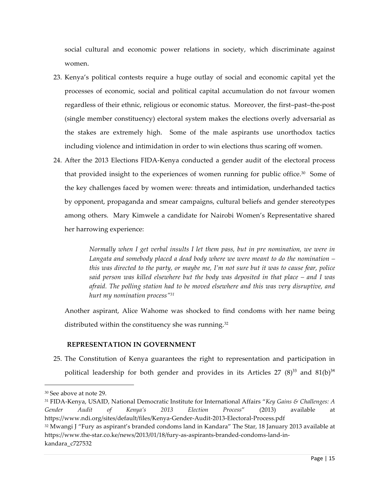social cultural and economic power relations in society, which discriminate against women.

- 23. Kenya's political contests require a huge outlay of social and economic capital yet the processes of economic, social and political capital accumulation do not favour women regardless of their ethnic, religious or economic status. Moreover, the first–past–the-post (single member constituency) electoral system makes the elections overly adversarial as the stakes are extremely high. Some of the male aspirants use unorthodox tactics including violence and intimidation in order to win elections thus scaring off women.
- 24. After the 2013 Elections FIDA-Kenya conducted a gender audit of the electoral process that provided insight to the experiences of women running for public office.<sup>30</sup> Some of the key challenges faced by women were: threats and intimidation, underhanded tactics by opponent, propaganda and smear campaigns, cultural beliefs and gender stereotypes among others. Mary Kimwele a candidate for Nairobi Women's Representative shared her harrowing experience:

*Normally when I get verbal insults I let them pass, but in pre nomination, we were in Langata and somebody placed a dead body where we were meant to do the nomination – this was directed to the party, or maybe me, I'm not sure but it was to cause fear, police said person was killed elsewhere but the body was deposited in that place – and I was afraid. The polling station had to be moved elsewhere and this was very disruptive, and hurt my nomination process"31*

Another aspirant, Alice Wahome was shocked to find condoms with her name being distributed within the constituency she was running.<sup>32</sup>

#### **REPRESENTATION IN GOVERNMENT**

25. The Constitution of Kenya guarantees the right to representation and participation in political leadership for both gender and provides in its Articles 27  $(8)^{33}$  and 81(b)<sup>34</sup>

 $\overline{a}$ 

<sup>32</sup> Mwangi J "Fury as aspirant's branded condoms land in Kandara" The Star, 18 January 2013 available at https://www.the-star.co.ke/news/2013/01/18/fury-as-aspirants-branded-condoms-land-inkandara\_c727532

<sup>30</sup> See above at note 29.

<sup>31</sup> FIDA-Kenya, USAID, National Democratic Institute for International Affairs "*Key Gains & Challenges: A Gender Audit of Kenya's 2013 Election Process*" (2013) available at https://www.ndi.org/sites/default/files/Kenya-Gender-Audit-2013-Electoral-Process.pdf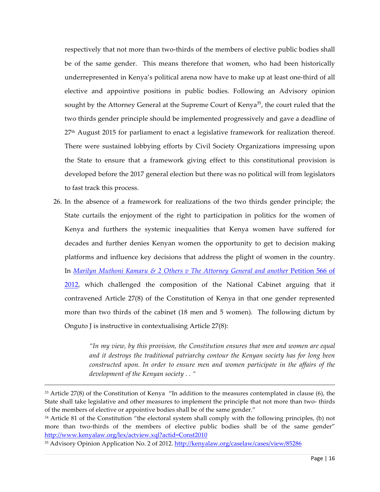respectively that not more than two-thirds of the members of elective public bodies shall be of the same gender. This means therefore that women, who had been historically underrepresented in Kenya's political arena now have to make up at least one-third of all elective and appointive positions in public bodies. Following an Advisory opinion sought by the Attorney General at the Supreme Court of Kenya<sup>35</sup>, the court ruled that the two thirds gender principle should be implemented progressively and gave a deadline of 27<sup>th</sup> August 2015 for parliament to enact a legislative framework for realization thereof. There were sustained lobbying efforts by Civil Society Organizations impressing upon the State to ensure that a framework giving effect to this constitutional provision is developed before the 2017 general election but there was no political will from legislators to fast track this process.

26. In the absence of a framework for realizations of the two thirds gender principle; the State curtails the enjoyment of the right to participation in politics for the women of Kenya and furthers the systemic inequalities that Kenya women have suffered for decades and further denies Kenyan women the opportunity to get to decision making platforms and influence key decisions that address the plight of women in the country. In *Marilyn Muthoni Kamaru & 2 Others v The Attorney General and another* Petition 566 of 2012, which challenged the composition of the National Cabinet arguing that it contravened Article 27(8) of the Constitution of Kenya in that one gender represented more than two thirds of the cabinet (18 men and 5 women). The following dictum by Onguto J is instructive in contextualising Article 27(8):

> *"In my view, by this provision, the Constitution ensures that men and women are equal and it destroys the traditional patriarchy contour the Kenyan society has for long been constructed upon. In order to ensure men and women participate in the affairs of the development of the Kenyan society . . "*

 $33$  Article 27(8) of the Constitution of Kenya "In addition to the measures contemplated in clause (6), the State shall take legislative and other measures to implement the principle that not more than two- thirds of the members of elective or appointive bodies shall be of the same gender."

<sup>34</sup> Article 81 of the Constitution "the electoral system shall comply with the following principles, (b) not more than two-thirds of the members of elective public bodies shall be of the same gender" http://www.kenyalaw.org/lex/actview.xql?actid=Const2010

<sup>35</sup> Advisory Opinion Application No. 2 of 2012. http://kenyalaw.org/caselaw/cases/view/85286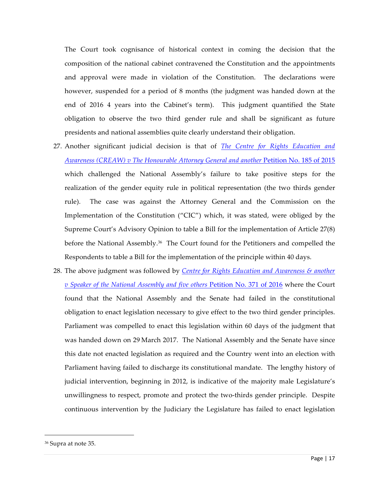The Court took cognisance of historical context in coming the decision that the composition of the national cabinet contravened the Constitution and the appointments and approval were made in violation of the Constitution. The declarations were however, suspended for a period of 8 months (the judgment was handed down at the end of 2016 4 years into the Cabinet's term). This judgment quantified the State obligation to observe the two third gender rule and shall be significant as future presidents and national assemblies quite clearly understand their obligation.

- 27. Another significant judicial decision is that of *The Centre for Rights Education and Awareness (CREAW) v The Honourable Attorney General and another* Petition No. 185 of 2015 which challenged the National Assembly's failure to take positive steps for the realization of the gender equity rule in political representation (the two thirds gender rule). The case was against the Attorney General and the Commission on the Implementation of the Constitution ("CIC") which, it was stated, were obliged by the Supreme Court's Advisory Opinion to table a Bill for the implementation of Article 27(8) before the National Assembly.<sup>36</sup> The Court found for the Petitioners and compelled the Respondents to table a Bill for the implementation of the principle within 40 days.
- 28. The above judgment was followed by *Centre for Rights Education and Awareness & another v Speaker of the National Assembly and five others* Petition No. 371 of 2016 where the Court found that the National Assembly and the Senate had failed in the constitutional obligation to enact legislation necessary to give effect to the two third gender principles. Parliament was compelled to enact this legislation within 60 days of the judgment that was handed down on 29 March 2017. The National Assembly and the Senate have since this date not enacted legislation as required and the Country went into an election with Parliament having failed to discharge its constitutional mandate. The lengthy history of judicial intervention, beginning in 2012, is indicative of the majority male Legislature's unwillingness to respect, promote and protect the two-thirds gender principle. Despite continuous intervention by the Judiciary the Legislature has failed to enact legislation

<sup>36</sup> Supra at note 35.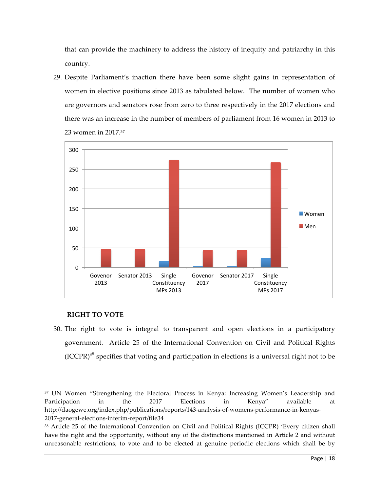that can provide the machinery to address the history of inequity and patriarchy in this country.

29. Despite Parliament's inaction there have been some slight gains in representation of women in elective positions since 2013 as tabulated below. The number of women who are governors and senators rose from zero to three respectively in the 2017 elections and there was an increase in the number of members of parliament from 16 women in 2013 to 23 women in 2017.37



#### **RIGHT TO VOTE**

 $\overline{a}$ 

30. The right to vote is integral to transparent and open elections in a participatory government. Article 25 of the International Convention on Civil and Political Rights  $(ICCPR)^{38}$  specifies that voting and participation in elections is a universal right not to be

<sup>37</sup> UN Women "Strengthening the Electoral Process in Kenya: Increasing Women's Leadership and Participation in the 2017 Elections in Kenya" available at http://daogewe.org/index.php/publications/reports/143-analysis-of-womens-performance-in-kenyas-2017-general-elections-interim-report/file34

<sup>38</sup> Article 25 of the International Convention on Civil and Political Rights (ICCPR) 'Every citizen shall have the right and the opportunity, without any of the distinctions mentioned in Article 2 and without unreasonable restrictions; to vote and to be elected at genuine periodic elections which shall be by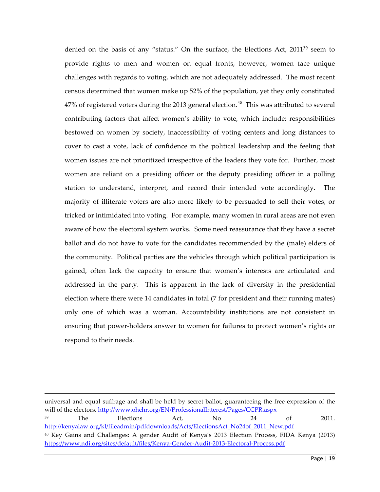denied on the basis of any "status." On the surface, the Elections Act, 2011<sup>39</sup> seem to provide rights to men and women on equal fronts, however, women face unique challenges with regards to voting, which are not adequately addressed. The most recent census determined that women make up 52% of the population, yet they only constituted  $47\%$  of registered voters during the 2013 general election.<sup>40</sup> This was attributed to several contributing factors that affect women's ability to vote, which include: responsibilities bestowed on women by society, inaccessibility of voting centers and long distances to cover to cast a vote, lack of confidence in the political leadership and the feeling that women issues are not prioritized irrespective of the leaders they vote for. Further, most women are reliant on a presiding officer or the deputy presiding officer in a polling station to understand, interpret, and record their intended vote accordingly. The majority of illiterate voters are also more likely to be persuaded to sell their votes, or tricked or intimidated into voting. For example, many women in rural areas are not even aware of how the electoral system works. Some need reassurance that they have a secret ballot and do not have to vote for the candidates recommended by the (male) elders of the community. Political parties are the vehicles through which political participation is gained, often lack the capacity to ensure that women's interests are articulated and addressed in the party. This is apparent in the lack of diversity in the presidential election where there were 14 candidates in total (7 for president and their running mates) only one of which was a woman. Accountability institutions are not consistent in ensuring that power-holders answer to women for failures to protect women's rights or respond to their needs.

universal and equal suffrage and shall be held by secret ballot, guaranteeing the free expression of the will of the electors. http://www.ohchr.org/EN/ProfessionalInterest/Pages/CCPR.aspx <sup>39</sup> The Elections Act, No 24 of 2011. http://kenyalaw.org/kl/fileadmin/pdfdownloads/Acts/ElectionsAct\_No24of\_2011\_New.pdf <sup>40</sup> Key Gains and Challenges: A gender Audit of Kenya's 2013 Election Process, FIDA Kenya (2013) https://www.ndi.org/sites/default/files/Kenya-Gender-Audit-2013-Electoral-Process.pdf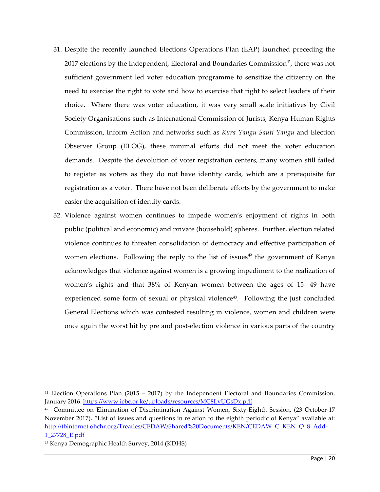- 31. Despite the recently launched Elections Operations Plan (EAP) launched preceding the 2017 elections by the Independent, Electoral and Boundaries Commission<sup>41</sup>, there was not sufficient government led voter education programme to sensitize the citizenry on the need to exercise the right to vote and how to exercise that right to select leaders of their choice. Where there was voter education, it was very small scale initiatives by Civil Society Organisations such as International Commission of Jurists, Kenya Human Rights Commission, Inform Action and networks such as *Kura Yangu Sauti Yangu* and Election Observer Group (ELOG), these minimal efforts did not meet the voter education demands. Despite the devolution of voter registration centers, many women still failed to register as voters as they do not have identity cards, which are a prerequisite for registration as a voter. There have not been deliberate efforts by the government to make easier the acquisition of identity cards.
- 32. Violence against women continues to impede women's enjoyment of rights in both public (political and economic) and private (household) spheres. Further, election related violence continues to threaten consolidation of democracy and effective participation of women elections. Following the reply to the list of issues<sup>42</sup> the government of Kenya acknowledges that violence against women is a growing impediment to the realization of women's rights and that 38% of Kenyan women between the ages of 15- 49 have experienced some form of sexual or physical violence<sup>43</sup>. Following the just concluded General Elections which was contested resulting in violence, women and children were once again the worst hit by pre and post-election violence in various parts of the country

 $41$  Election Operations Plan (2015 – 2017) by the Independent Electoral and Boundaries Commission, January 2016. https://www.iebc.or.ke/uploads/resources/MC8LvUGsDx.pdf

<sup>42</sup> Committee on Elimination of Discrimination Against Women, Sixty-Eighth Session, (23 October-17 November 2017), "List of issues and questions in relation to the eighth periodic of Kenya" available at: http://tbinternet.ohchr.org/Treaties/CEDAW/Shared%20Documents/KEN/CEDAW\_C\_KEN\_Q\_8\_Add-1\_27728\_E.pdf

<sup>43</sup> Kenya Demographic Health Survey, 2014 (KDHS)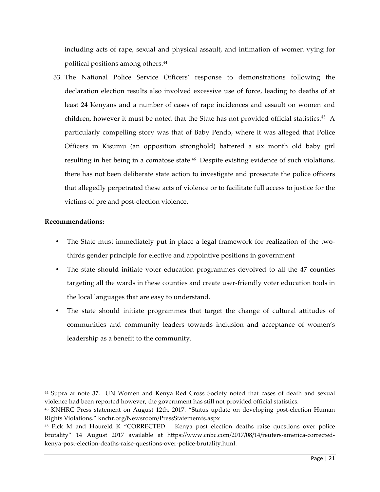including acts of rape, sexual and physical assault, and intimation of women vying for political positions among others.<sup>44</sup>

33. The National Police Service Officers' response to demonstrations following the declaration election results also involved excessive use of force, leading to deaths of at least 24 Kenyans and a number of cases of rape incidences and assault on women and children, however it must be noted that the State has not provided official statistics.<sup>45</sup> A particularly compelling story was that of Baby Pendo, where it was alleged that Police Officers in Kisumu (an opposition stronghold) battered a six month old baby girl resulting in her being in a comatose state.<sup>46</sup> Despite existing evidence of such violations, there has not been deliberate state action to investigate and prosecute the police officers that allegedly perpetrated these acts of violence or to facilitate full access to justice for the victims of pre and post-election violence.

#### **Recommendations:**

- The State must immediately put in place a legal framework for realization of the twothirds gender principle for elective and appointive positions in government
- The state should initiate voter education programmes devolved to all the 47 counties targeting all the wards in these counties and create user-friendly voter education tools in the local languages that are easy to understand.
- The state should initiate programmes that target the change of cultural attitudes of communities and community leaders towards inclusion and acceptance of women's leadership as a benefit to the community.

<sup>44</sup> Supra at note 37. UN Women and Kenya Red Cross Society noted that cases of death and sexual violence had been reported however, the government has still not provided official statistics.

<sup>45</sup> KNHRC Press statement on August 12th, 2017. "Status update on developing post-election Human Rights Violations." knchr.org/Newsroom/PressStatememts.aspx

<sup>46</sup> Fick M and Houreld K "CORRECTED – Kenya post election deaths raise questions over police brutality" 14 August 2017 available at https://www.cnbc.com/2017/08/14/reuters-america-correctedkenya-post-election-deaths-raise-questions-over-police-brutality.html.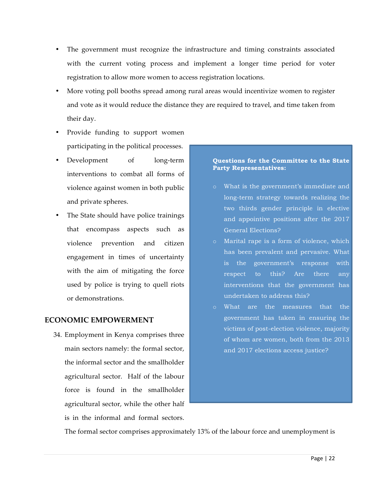- The government must recognize the infrastructure and timing constraints associated with the current voting process and implement a longer time period for voter registration to allow more women to access registration locations.
- More voting poll booths spread among rural areas would incentivize women to register and vote as it would reduce the distance they are required to travel, and time taken from their day.
- Provide funding to support women participating in the political processes.
- Development of long-term interventions to combat all forms of violence against women in both public and private spheres.
- The State should have police trainings that encompass aspects such as violence prevention and citizen engagement in times of uncertainty with the aim of mitigating the force used by police is trying to quell riots or demonstrations.

# **ECONOMIC EMPOWERMENT**

34. Employment in Kenya comprises three main sectors namely: the formal sector, the informal sector and the smallholder agricultural sector. Half of the labour force is found in the smallholder agricultural sector, while the other half is in the informal and formal sectors.

#### **Questions for the Committee to the State Party Representatives:**

- o What is the government's immediate and long-term strategy towards realizing the two thirds gender principle in elective and appointive positions after the 2017 General Elections?
- o Marital rape is a form of violence, which has been prevalent and pervasive. What is the government's response with respect to this? Are there any interventions that the government has undertaken to address this?
- What are the measures that the government has taken in ensuring the victims of post-election violence, majority of whom are women, both from the 2013 and 2017 elections access justice?

The formal sector comprises approximately 13% of the labour force and unemployment is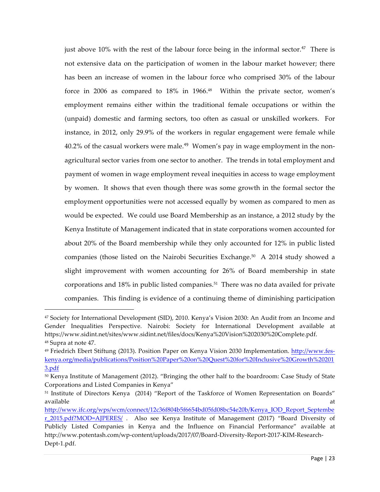just above 10% with the rest of the labour force being in the informal sector.<sup>47</sup> There is not extensive data on the participation of women in the labour market however; there has been an increase of women in the labour force who comprised 30% of the labour force in 2006 as compared to 18% in 1966.<sup>48</sup> Within the private sector, women's employment remains either within the traditional female occupations or within the (unpaid) domestic and farming sectors, too often as casual or unskilled workers. For instance, in 2012, only 29.9% of the workers in regular engagement were female while  $40.2\%$  of the casual workers were male.<sup>49</sup> Women's pay in wage employment in the nonagricultural sector varies from one sector to another. The trends in total employment and payment of women in wage employment reveal inequities in access to wage employment by women. It shows that even though there was some growth in the formal sector the employment opportunities were not accessed equally by women as compared to men as would be expected. We could use Board Membership as an instance, a 2012 study by the Kenya Institute of Management indicated that in state corporations women accounted for about 20% of the Board membership while they only accounted for 12% in public listed companies (those listed on the Nairobi Securities Exchange.50 A 2014 study showed a slight improvement with women accounting for 26% of Board membership in state corporations and  $18\%$  in public listed companies.<sup>51</sup> There was no data availed for private companies. This finding is evidence of a continuing theme of diminishing participation

<sup>47</sup> Society for International Development (SID), 2010. Kenya's Vision 2030: An Audit from an Income and Gender Inequalities Perspective. Nairobi: Society for International Development available at https://www.sidint.net/sites/www.sidint.net/files/docs/Kenya%20Vision%202030%20Complete.pdf. <sup>48</sup> Supra at note 47.

<sup>49</sup> Friedrich Ebert Stiftung (2013). Position Paper on Kenya Vision 2030 Implementation. http://www.feskenya.org/media/publications/Position%20Paper%20on%20Quest%20for%20Inclusive%20Growth%20201 3.pdf

<sup>50</sup> Kenya Institute of Management (2012). "Bringing the other half to the boardroom: Case Study of State Corporations and Listed Companies in Kenya"

<sup>51</sup> Institute of Directors Kenya (2014) "Report of the Taskforce of Women Representation on Boards" available at the contract of the contract of the contract of the contract of the contract of the contract of the contract of the contract of the contract of the contract of the contract of the contract of the contract of t

http://www.ifc.org/wps/wcm/connect/12c36f804b5f6654bd05fd08bc54e20b/Kenya\_IOD\_Report\_Septembe r\_2015.pdf?MOD=AJPERES/ . Also see Kenya Institute of Management (2017) "Board Diversity of Publicly Listed Companies in Kenya and the Influence on Financial Performance" available at http://www.potentash.com/wp-content/uploads/2017/07/Board-Diversity-Report-2017-KIM-Research-Dept-1.pdf.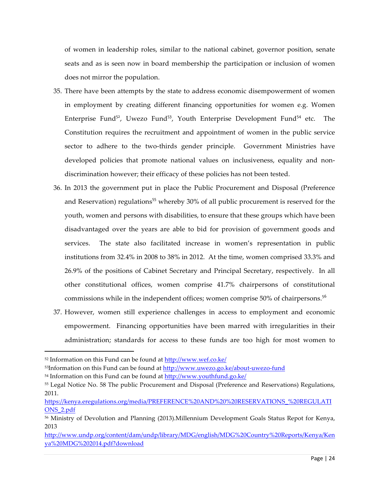of women in leadership roles, similar to the national cabinet, governor position, senate seats and as is seen now in board membership the participation or inclusion of women does not mirror the population.

- 35. There have been attempts by the state to address economic disempowerment of women in employment by creating different financing opportunities for women e.g. Women Enterprise Fund<sup>52</sup>, Uwezo Fund<sup>53</sup>, Youth Enterprise Development Fund<sup>54</sup> etc. The Constitution requires the recruitment and appointment of women in the public service sector to adhere to the two-thirds gender principle. Government Ministries have developed policies that promote national values on inclusiveness, equality and nondiscrimination however; their efficacy of these policies has not been tested.
- 36. In 2013 the government put in place the Public Procurement and Disposal (Preference and Reservation) regulations<sup>55</sup> whereby 30% of all public procurement is reserved for the youth, women and persons with disabilities, to ensure that these groups which have been disadvantaged over the years are able to bid for provision of government goods and services. The state also facilitated increase in women's representation in public institutions from 32.4% in 2008 to 38% in 2012. At the time, women comprised 33.3% and 26.9% of the positions of Cabinet Secretary and Principal Secretary, respectively. In all other constitutional offices, women comprise 41.7% chairpersons of constitutional commissions while in the independent offices; women comprise 50% of chairpersons.<sup>56</sup>
- 37. However, women still experience challenges in access to employment and economic empowerment. Financing opportunities have been marred with irregularities in their administration; standards for access to these funds are too high for most women to

<sup>52</sup> Information on this Fund can be found at http://www.wef.co.ke/

<sup>53</sup>Information on this Fund can be found at http://www.uwezo.go.ke/about-uwezo-fund

<sup>54</sup> Information on this Fund can be found at http://www.youthfund.go.ke/

<sup>55</sup> Legal Notice No. 58 The public Procurement and Disposal (Preference and Reservations) Regulations, 2011.

https://kenya.eregulations.org/media/PREFERENCE%20AND%20%20RESERVATIONS\_%20REGULATI ONS\_2.pdf

<sup>56</sup> Ministry of Devolution and Planning (2013).Millennium Development Goals Status Repot for Kenya, 2013

http://www.undp.org/content/dam/undp/library/MDG/english/MDG%20Country%20Reports/Kenya/Ken ya%20MDG%202014.pdf?download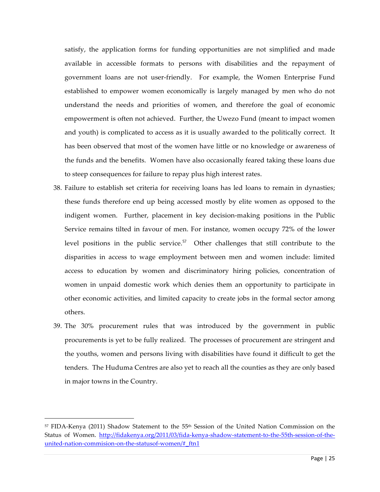satisfy, the application forms for funding opportunities are not simplified and made available in accessible formats to persons with disabilities and the repayment of government loans are not user-friendly. For example, the Women Enterprise Fund established to empower women economically is largely managed by men who do not understand the needs and priorities of women, and therefore the goal of economic empowerment is often not achieved. Further, the Uwezo Fund (meant to impact women and youth) is complicated to access as it is usually awarded to the politically correct. It has been observed that most of the women have little or no knowledge or awareness of the funds and the benefits. Women have also occasionally feared taking these loans due to steep consequences for failure to repay plus high interest rates.

- 38. Failure to establish set criteria for receiving loans has led loans to remain in dynasties; these funds therefore end up being accessed mostly by elite women as opposed to the indigent women. Further, placement in key decision-making positions in the Public Service remains tilted in favour of men. For instance, women occupy 72% of the lower level positions in the public service.<sup>57</sup> Other challenges that still contribute to the disparities in access to wage employment between men and women include: limited access to education by women and discriminatory hiring policies, concentration of women in unpaid domestic work which denies them an opportunity to participate in other economic activities, and limited capacity to create jobs in the formal sector among others.
- 39. The 30% procurement rules that was introduced by the government in public procurements is yet to be fully realized. The processes of procurement are stringent and the youths, women and persons living with disabilities have found it difficult to get the tenders. The Huduma Centres are also yet to reach all the counties as they are only based in major towns in the Country.

<sup>57</sup> FIDA-Kenya (2011) Shadow Statement to the 55th Session of the United Nation Commission on the Status of Women. http://fidakenya.org/2011/03/fida-kenya-shadow-statement-to-the-55th-session-of-theunited-nation-commision-on-the-statusof-women/#\_ftn1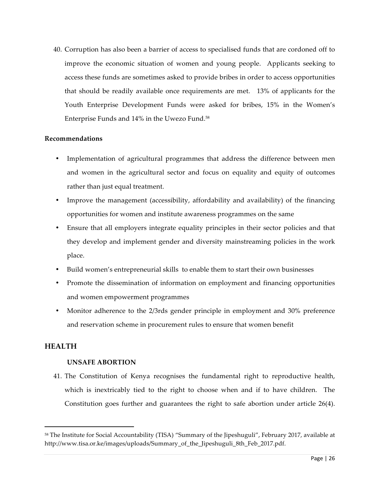40. Corruption has also been a barrier of access to specialised funds that are cordoned off to improve the economic situation of women and young people. Applicants seeking to access these funds are sometimes asked to provide bribes in order to access opportunities that should be readily available once requirements are met. 13% of applicants for the Youth Enterprise Development Funds were asked for bribes, 15% in the Women's Enterprise Funds and 14% in the Uwezo Fund.58

#### **Recommendations**

- Implementation of agricultural programmes that address the difference between men and women in the agricultural sector and focus on equality and equity of outcomes rather than just equal treatment.
- Improve the management (accessibility, affordability and availability) of the financing opportunities for women and institute awareness programmes on the same
- Ensure that all employers integrate equality principles in their sector policies and that they develop and implement gender and diversity mainstreaming policies in the work place.
- Build women's entrepreneurial skills to enable them to start their own businesses
- Promote the dissemination of information on employment and financing opportunities and women empowerment programmes
- Monitor adherence to the 2/3rds gender principle in employment and 30% preference and reservation scheme in procurement rules to ensure that women benefit

#### **HEALTH**

 $\overline{a}$ 

#### **UNSAFE ABORTION**

41. The Constitution of Kenya recognises the fundamental right to reproductive health, which is inextricably tied to the right to choose when and if to have children. The Constitution goes further and guarantees the right to safe abortion under article 26(4).

<sup>58</sup> The Institute for Social Accountability (TISA) "Summary of the Jipeshuguli", February 2017, available at http://www.tisa.or.ke/images/uploads/Summary\_of\_the\_Jipeshuguli\_8th\_Feb\_2017.pdf.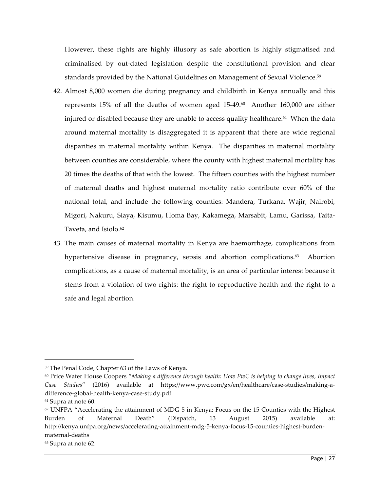However, these rights are highly illusory as safe abortion is highly stigmatised and criminalised by out-dated legislation despite the constitutional provision and clear standards provided by the National Guidelines on Management of Sexual Violence. 59

- 42. Almost 8,000 women die during pregnancy and childbirth in Kenya annually and this represents 15% of all the deaths of women aged 15-49. 60 Another 160,000 are either injured or disabled because they are unable to access quality healthcare.<sup> $61$ </sup> When the data around maternal mortality is disaggregated it is apparent that there are wide regional disparities in maternal mortality within Kenya. The disparities in maternal mortality between counties are considerable, where the county with highest maternal mortality has 20 times the deaths of that with the lowest. The fifteen counties with the highest number of maternal deaths and highest maternal mortality ratio contribute over 60% of the national total, and include the following counties: Mandera, Turkana, Wajir, Nairobi, Migori, Nakuru, Siaya, Kisumu, Homa Bay, Kakamega, Marsabit, Lamu, Garissa, Taita-Taveta, and Isiolo.<sup>62</sup>
- 43. The main causes of maternal mortality in Kenya are haemorrhage, complications from hypertensive disease in pregnancy, sepsis and abortion complications.<sup>63</sup> Abortion complications, as a cause of maternal mortality, is an area of particular interest because it stems from a violation of two rights: the right to reproductive health and the right to a safe and legal abortion.

<sup>59</sup> The Penal Code, Chapter 63 of the Laws of Kenya.

<sup>60</sup> Price Water House Coopers "*Making a difference through health: How PwC is helping to change lives, Impact Case Studies*" (2016) available at https://www.pwc.com/gx/en/healthcare/case-studies/making-adifference-global-health-kenya-case-study.pdf

<sup>61</sup> Supra at note 60.

 $62$  UNFPA "Accelerating the attainment of MDG 5 in Kenya: Focus on the 15 Counties with the Highest Burden of Maternal Death" (Dispatch, 13 August 2015) available at: http://kenya.unfpa.org/news/accelerating-attainment-mdg-5-kenya-focus-15-counties-highest-burdenmaternal-deaths

<sup>63</sup> Supra at note 62.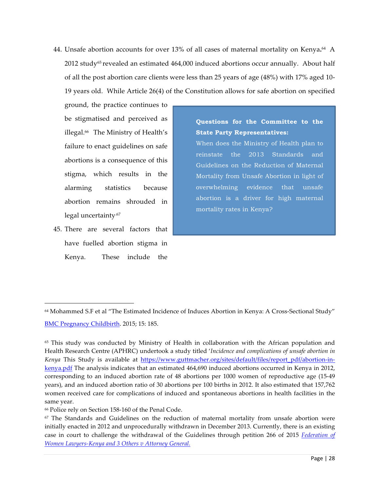44. Unsafe abortion accounts for over 13% of all cases of maternal mortality on Kenya.<sup>64</sup> A  $2012$  study<sup>65</sup> revealed an estimated  $464,000$  induced abortions occur annually. About half of all the post abortion care clients were less than 25 years of age (48%) with 17% aged 10- 19 years old. While Article 26(4) of the Constitution allows for safe abortion on specified

ground, the practice continues to be stigmatised and perceived as illegal.<sup>66</sup> The Ministry of Health's failure to enact guidelines on safe abortions is a consequence of this stigma, which results in the alarming statistics because abortion remains shrouded in legal uncertainty.67

45. There are several factors that have fuelled abortion stigma in Kenya. These include the

 $\overline{a}$ 

**Questions for the Committee to the State Party Representatives:** When does the Ministry of Health plan to reinstate the 2013 Standards and Guidelines on the Reduction of Maternal Mortality from Unsafe Abortion in light of overwhelming evidence that unsafe abortion is a driver for high maternal mortality rates in Kenya?

<sup>64</sup> Mohammed S.F et al "The Estimated Incidence of Induces Abortion in Kenya: A Cross-Sectional Study" BMC Pregnancy Childbirth. 2015; 15: 185.

<sup>65</sup> This study was conducted by Ministry of Health in collaboration with the African population and Health Research Centre (APHRC) undertook a study titled '*Incidence and complications of unsafe abortion in Kenya* This Study is available at https://www.guttmacher.org/sites/default/files/report\_pdf/abortion-inkenya.pdf The analysis indicates that an estimated 464,690 induced abortions occurred in Kenya in 2012, corresponding to an induced abortion rate of 48 abortions per 1000 women of reproductive age (15-49 years), and an induced abortion ratio of 30 abortions per 100 births in 2012. It also estimated that 157,762 women received care for complications of induced and spontaneous abortions in health facilities in the same year.

<sup>66</sup> Police rely on Section 158-160 of the Penal Code.

 $67$  The Standards and Guidelines on the reduction of maternal mortality from unsafe abortion were initially enacted in 2012 and unprocedurally withdrawn in December 2013. Currently, there is an existing case in court to challenge the withdrawal of the Guidelines through petition 266 of 2015 *Federation of Women Lawyers-Kenya and 3 Others v Attorney General.*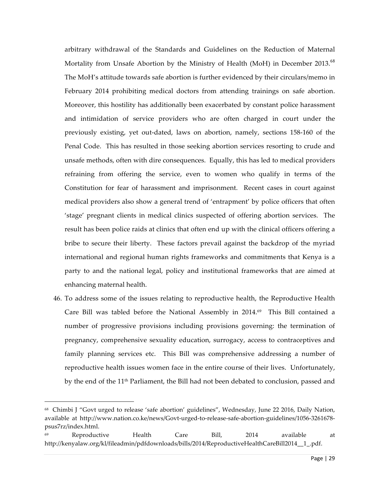arbitrary withdrawal of the Standards and Guidelines on the Reduction of Maternal Mortality from Unsafe Abortion by the Ministry of Health (MoH) in December 2013.<sup>68</sup> The MoH's attitude towards safe abortion is further evidenced by their circulars/memo in February 2014 prohibiting medical doctors from attending trainings on safe abortion. Moreover, this hostility has additionally been exacerbated by constant police harassment and intimidation of service providers who are often charged in court under the previously existing, yet out-dated, laws on abortion, namely, sections 158-160 of the Penal Code. This has resulted in those seeking abortion services resorting to crude and unsafe methods, often with dire consequences. Equally, this has led to medical providers refraining from offering the service, even to women who qualify in terms of the Constitution for fear of harassment and imprisonment. Recent cases in court against medical providers also show a general trend of 'entrapment' by police officers that often 'stage' pregnant clients in medical clinics suspected of offering abortion services. The result has been police raids at clinics that often end up with the clinical officers offering a bribe to secure their liberty. These factors prevail against the backdrop of the myriad international and regional human rights frameworks and commitments that Kenya is a party to and the national legal, policy and institutional frameworks that are aimed at enhancing maternal health.

46. To address some of the issues relating to reproductive health, the Reproductive Health Care Bill was tabled before the National Assembly in  $2014.69$  This Bill contained a number of progressive provisions including provisions governing: the termination of pregnancy, comprehensive sexuality education, surrogacy, access to contraceptives and family planning services etc. This Bill was comprehensive addressing a number of reproductive health issues women face in the entire course of their lives. Unfortunately, by the end of the 11<sup>th</sup> Parliament, the Bill had not been debated to conclusion, passed and

<sup>68</sup> Chimbi J "Govt urged to release 'safe abortion' guidelines", Wednesday, June 22 2016, Daily Nation, available at http://www.nation.co.ke/news/Govt-urged-to-release-safe-abortion-guidelines/1056-3261678 psus7rz/index.html.

<sup>69</sup> Reproductive Health Care Bill, 2014 available at http://kenyalaw.org/kl/fileadmin/pdfdownloads/bills/2014/ReproductiveHealthCareBill2014\_\_1\_.pdf.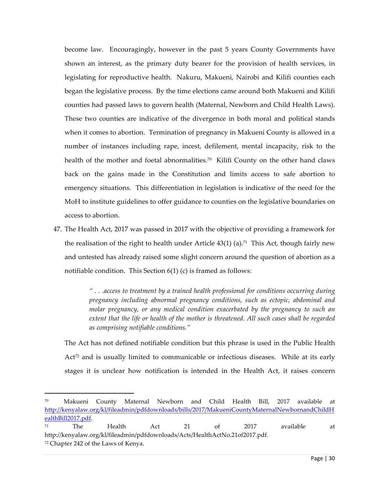become law. Encouragingly, however in the past 5 years County Governments have shown an interest, as the primary duty bearer for the provision of health services, in legislating for reproductive health. Nakuru, Makueni, Nairobi and Kilifi counties each began the legislative process. By the time elections came around both Makueni and Kilifi counties had passed laws to govern health (Maternal, Newborn and Child Health Laws). These two counties are indicative of the divergence in both moral and political stands when it comes to abortion. Termination of pregnancy in Makueni County is allowed in a number of instances including rape, incest, defilement, mental incapacity, risk to the health of the mother and foetal abnormalities.<sup>70</sup> Kilifi County on the other hand claws back on the gains made in the Constitution and limits access to safe abortion to emergency situations. This differentiation in legislation is indicative of the need for the MoH to institute guidelines to offer guidance to counties on the legislative boundaries on access to abortion.

47. The Health Act, 2017 was passed in 2017 with the objective of providing a framework for the realisation of the right to health under Article  $43(1)$  (a).<sup>71</sup> This Act, though fairly new and untested has already raised some slight concern around the question of abortion as a notifiable condition. This Section 6(1) (c) is framed as follows:

> *" . . .access to treatment by a trained health professional for conditions occurring during pregnancy including abnormal pregnancy conditions, such as ectopic, abdominal and molar pregnancy, or any medical condition exacerbated by the pregnancy to such an extent that the life or health of the mother is threatened. All such cases shall be regarded as comprising notifiable conditions."*

The Act has not defined notifiable condition but this phrase is used in the Public Health  $Act^{72}$  and is usually limited to communicable or infectious diseases. While at its early stages it is unclear how notification is intended in the Health Act, it raises concern

<sup>70</sup> Makueni County Maternal Newborn and Child Health Bill, 2017 available at http://kenyalaw.org/kl/fileadmin/pdfdownloads/bills/2017/MakueniCountyMaternalNewbornandChildH ealthBill2017.pdf.

<sup>71</sup> The Health Act 21 of 2017 available at http://kenyalaw.org/kl/fileadmin/pdfdownloads/Acts/HealthActNo.21of2017.pdf. <sup>72</sup> Chapter 242 of the Laws of Kenya.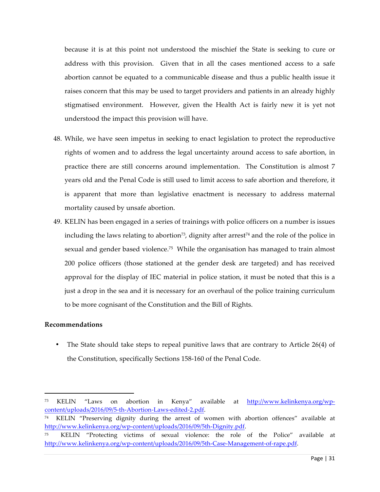because it is at this point not understood the mischief the State is seeking to cure or address with this provision. Given that in all the cases mentioned access to a safe abortion cannot be equated to a communicable disease and thus a public health issue it raises concern that this may be used to target providers and patients in an already highly stigmatised environment. However, given the Health Act is fairly new it is yet not understood the impact this provision will have.

- 48. While, we have seen impetus in seeking to enact legislation to protect the reproductive rights of women and to address the legal uncertainty around access to safe abortion, in practice there are still concerns around implementation. The Constitution is almost 7 years old and the Penal Code is still used to limit access to safe abortion and therefore, it is apparent that more than legislative enactment is necessary to address maternal mortality caused by unsafe abortion.
- 49. KELIN has been engaged in a series of trainings with police officers on a number is issues including the laws relating to abortion<sup>73</sup>, dignity after arrest $74$  and the role of the police in sexual and gender based violence.<sup>75</sup> While the organisation has managed to train almost 200 police officers (those stationed at the gender desk are targeted) and has received approval for the display of IEC material in police station, it must be noted that this is a just a drop in the sea and it is necessary for an overhaul of the police training curriculum to be more cognisant of the Constitution and the Bill of Rights.

#### **Recommendations**

 $\overline{a}$ 

• The State should take steps to repeal punitive laws that are contrary to Article 26(4) of the Constitution, specifically Sections 158-160 of the Penal Code.

<sup>73</sup> KELIN "Laws on abortion in Kenya" available at http://www.kelinkenya.org/wpcontent/uploads/2016/09/5-th-Abortion-Laws-edited-2.pdf.

<sup>74</sup> KELIN "Preserving dignity during the arrest of women with abortion offences" available at http://www.kelinkenya.org/wp-content/uploads/2016/09/5th-Dignity.pdf.

<sup>75</sup> KELIN "Protecting victims of sexual violence: the role of the Police" available at http://www.kelinkenya.org/wp-content/uploads/2016/09/5th-Case-Management-of-rape.pdf.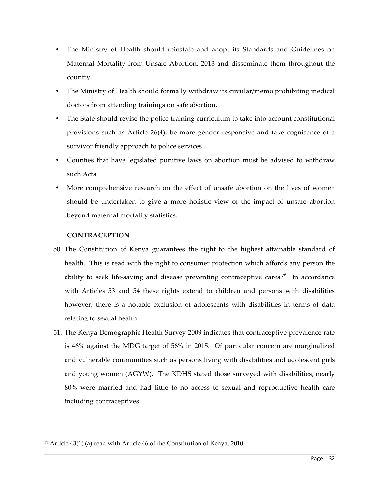- The Ministry of Health should reinstate and adopt its Standards and Guidelines on Maternal Mortality from Unsafe Abortion, 2013 and disseminate them throughout the country.
- The Ministry of Health should formally withdraw its circular/memo prohibiting medical doctors from attending trainings on safe abortion.
- The State should revise the police training curriculum to take into account constitutional provisions such as Article 26(4), be more gender responsive and take cognisance of a survivor friendly approach to police services
- Counties that have legislated punitive laws on abortion must be advised to withdraw such Acts
- More comprehensive research on the effect of unsafe abortion on the lives of women should be undertaken to give a more holistic view of the impact of unsafe abortion beyond maternal mortality statistics.

### **CONTRACEPTION**

- 50. The Constitution of Kenya guarantees the right to the highest attainable standard of health. This is read with the right to consumer protection which affords any person the ability to seek life-saving and disease preventing contraceptive cares.<sup>76</sup> In accordance with Articles 53 and 54 these rights extend to children and persons with disabilities however, there is a notable exclusion of adolescents with disabilities in terms of data relating to sexual health.
- 51. The Kenya Demographic Health Survey 2009 indicates that contraceptive prevalence rate is 46% against the MDG target of 56% in 2015. Of particular concern are marginalized and vulnerable communities such as persons living with disabilities and adolescent girls and young women (AGYW). The KDHS stated those surveyed with disabilities, nearly 80% were married and had little to no access to sexual and reproductive health care including contraceptives.

<sup>76</sup> Article 43(1) (a) read with Article 46 of the Constitution of Kenya, 2010.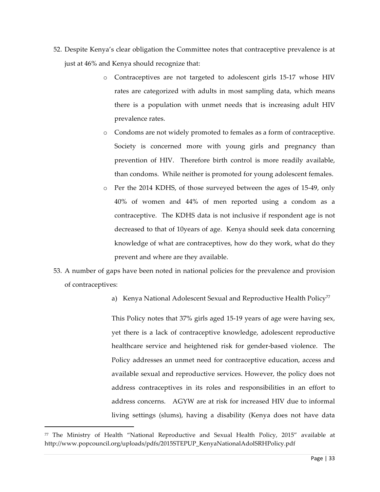- 52. Despite Kenya's clear obligation the Committee notes that contraceptive prevalence is at just at 46% and Kenya should recognize that:
	- o Contraceptives are not targeted to adolescent girls 15-17 whose HIV rates are categorized with adults in most sampling data, which means there is a population with unmet needs that is increasing adult HIV prevalence rates.
	- o Condoms are not widely promoted to females as a form of contraceptive. Society is concerned more with young girls and pregnancy than prevention of HIV. Therefore birth control is more readily available, than condoms. While neither is promoted for young adolescent females.
	- o Per the 2014 KDHS, of those surveyed between the ages of 15-49, only 40% of women and 44% of men reported using a condom as a contraceptive. The KDHS data is not inclusive if respondent age is not decreased to that of 10years of age. Kenya should seek data concerning knowledge of what are contraceptives, how do they work, what do they prevent and where are they available.
- 53. A number of gaps have been noted in national policies for the prevalence and provision of contraceptives:
	- a) Kenya National Adolescent Sexual and Reproductive Health Policy<sup>77</sup>

This Policy notes that 37% girls aged 15-19 years of age were having sex, yet there is a lack of contraceptive knowledge, adolescent reproductive healthcare service and heightened risk for gender-based violence. The Policy addresses an unmet need for contraceptive education, access and available sexual and reproductive services. However, the policy does not address contraceptives in its roles and responsibilities in an effort to address concerns. AGYW are at risk for increased HIV due to informal living settings (slums), having a disability (Kenya does not have data

<sup>77</sup> The Ministry of Health "National Reproductive and Sexual Health Policy, 2015" available at http://www.popcouncil.org/uploads/pdfs/2015STEPUP\_KenyaNationalAdolSRHPolicy.pdf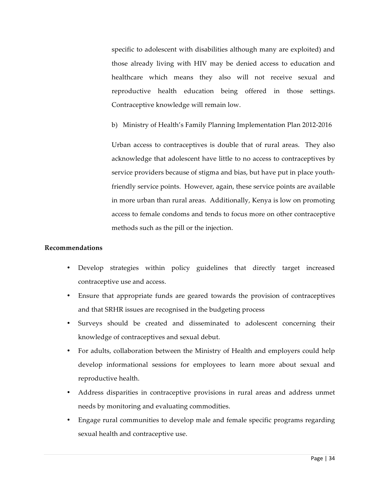specific to adolescent with disabilities although many are exploited) and those already living with HIV may be denied access to education and healthcare which means they also will not receive sexual and reproductive health education being offered in those settings. Contraceptive knowledge will remain low.

b) Ministry of Health's Family Planning Implementation Plan 2012-2016

Urban access to contraceptives is double that of rural areas. They also acknowledge that adolescent have little to no access to contraceptives by service providers because of stigma and bias, but have put in place youthfriendly service points. However, again, these service points are available in more urban than rural areas. Additionally, Kenya is low on promoting access to female condoms and tends to focus more on other contraceptive methods such as the pill or the injection.

#### **Recommendations**

- Develop strategies within policy guidelines that directly target increased contraceptive use and access.
- Ensure that appropriate funds are geared towards the provision of contraceptives and that SRHR issues are recognised in the budgeting process
- Surveys should be created and disseminated to adolescent concerning their knowledge of contraceptives and sexual debut.
- For adults, collaboration between the Ministry of Health and employers could help develop informational sessions for employees to learn more about sexual and reproductive health.
- Address disparities in contraceptive provisions in rural areas and address unmet needs by monitoring and evaluating commodities.
- Engage rural communities to develop male and female specific programs regarding sexual health and contraceptive use.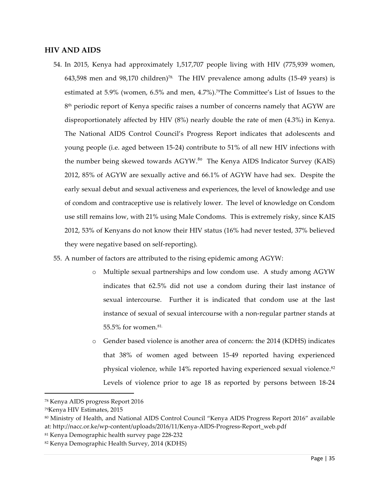#### **HIV AND AIDS**

- 54. In 2015, Kenya had approximately 1,517,707 people living with HIV (775,939 women, 643,598 men and 98,170 children)78. The HIV prevalence among adults (15-49 years) is estimated at 5.9% (women, 6.5% and men, 4.7%).<sup>79</sup>The Committee's List of Issues to the  $8<sup>th</sup>$  periodic report of Kenya specific raises a number of concerns namely that AGYW are disproportionately affected by HIV (8%) nearly double the rate of men (4.3%) in Kenya. The National AIDS Control Council's Progress Report indicates that adolescents and young people (i.e. aged between 15-24) contribute to 51% of all new HIV infections with the number being skewed towards AGYW.<sup>80</sup> The Kenya AIDS Indicator Survey (KAIS) 2012, 85% of AGYW are sexually active and 66.1% of AGYW have had sex. Despite the early sexual debut and sexual activeness and experiences, the level of knowledge and use of condom and contraceptive use is relatively lower. The level of knowledge on Condom use still remains low, with 21% using Male Condoms. This is extremely risky, since KAIS 2012, 53% of Kenyans do not know their HIV status (16% had never tested, 37% believed they were negative based on self-reporting).
- 55. A number of factors are attributed to the rising epidemic among AGYW:
	- o Multiple sexual partnerships and low condom use. A study among AGYW indicates that 62.5% did not use a condom during their last instance of sexual intercourse. Further it is indicated that condom use at the last instance of sexual of sexual intercourse with a non-regular partner stands at 55.5% for women.81.
	- o Gender based violence is another area of concern: the 2014 (KDHS) indicates that 38% of women aged between 15-49 reported having experienced physical violence, while 14% reported having experienced sexual violence.<sup>82</sup> Levels of violence prior to age 18 as reported by persons between 18-24

<sup>78</sup> Kenya AIDS progress Report 2016

<sup>79</sup>Kenya HIV Estimates, 2015

<sup>80</sup> Ministry of Health, and National AIDS Control Council "Kenya AIDS Progress Report 2016" available at: http://nacc.or.ke/wp-content/uploads/2016/11/Kenya-AIDS-Progress-Report\_web.pdf

<sup>81</sup> Kenya Demographic health survey page 228-232

<sup>82</sup> Kenya Demographic Health Survey, 2014 (KDHS)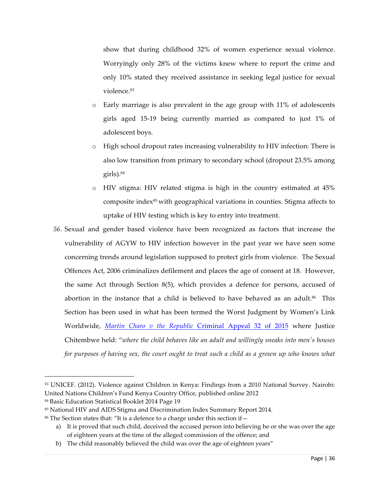show that during childhood 32% of women experience sexual violence. Worryingly only 28% of the victims knew where to report the crime and only 10% stated they received assistance in seeking legal justice for sexual violence. 83

- o Early marriage is also prevalent in the age group with 11% of adolescents girls aged 15-19 being currently married as compared to just 1% of adolescent boys.
- o High school dropout rates increasing vulnerability to HIV infection: There is also low transition from primary to secondary school (dropout 23.5% among girls).84
- o HIV stigma: HIV related stigma is high in the country estimated at 45% composite index85 with geographical variations in counties. Stigma affects to uptake of HIV testing which is key to entry into treatment.
- *56.* Sexual and gender based violence have been recognized as factors that increase the vulnerability of AGYW to HIV infection however in the past year we have seen some concerning trends around legislation supposed to protect girls from violence. The Sexual Offences Act, 2006 criminalizes defilement and places the age of consent at 18. However, the same Act through Section 8(5), which provides a defence for persons, accused of abortion in the instance that a child is believed to have behaved as an adult. $86$  This Section has been used in what has been termed the Worst Judgment by Women's Link Worldwide, *Martin Charo v the Republic* Criminal Appeal 32 of 2015 where Justice Chitembwe held: "*where the child behaves like an adult and willingly sneaks into men's houses for purposes of having sex, the court ought to treat such a child as a grown up who knows what*

l

<sup>83</sup> UNICEF. (2012). Violence against Children in Kenya: Findings from a 2010 National Survey. Nairobi: United Nations Children's Fund Kenya Country Office, published online 2012

<sup>84</sup> Basic Education Statistical Booklet 2014 Page 19

<sup>85</sup> National HIV and AIDS Stigma and Discrimination Index Summary Report 2014.

<sup>86</sup> The Section states that: "It is a defence to a charge under this section if—

a) It is proved that such child, deceived the accused person into believing he or she was over the age of eighteen years at the time of the alleged commission of the offence; and

b) The child reasonably believed the child was over the age of eighteen years"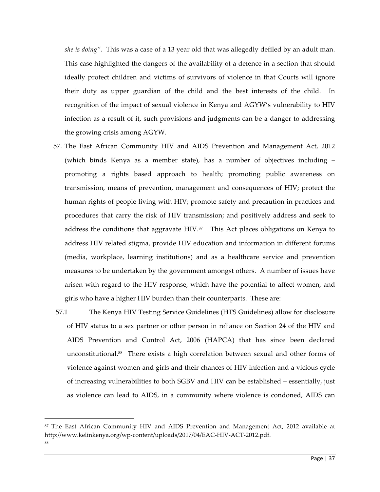*she is doing".* This was a case of a 13 year old that was allegedly defiled by an adult man. This case highlighted the dangers of the availability of a defence in a section that should ideally protect children and victims of survivors of violence in that Courts will ignore their duty as upper guardian of the child and the best interests of the child. In recognition of the impact of sexual violence in Kenya and AGYW's vulnerability to HIV infection as a result of it, such provisions and judgments can be a danger to addressing the growing crisis among AGYW.

- 57. The East African Community HIV and AIDS Prevention and Management Act, 2012 (which binds Kenya as a member state), has a number of objectives including – promoting a rights based approach to health; promoting public awareness on transmission, means of prevention, management and consequences of HIV; protect the human rights of people living with HIV; promote safety and precaution in practices and procedures that carry the risk of HIV transmission; and positively address and seek to address the conditions that aggravate HIV.<sup>87</sup> This Act places obligations on Kenya to address HIV related stigma, provide HIV education and information in different forums (media, workplace, learning institutions) and as a healthcare service and prevention measures to be undertaken by the government amongst others. A number of issues have arisen with regard to the HIV response, which have the potential to affect women, and girls who have a higher HIV burden than their counterparts. These are:
- 57.1 The Kenya HIV Testing Service Guidelines (HTS Guidelines) allow for disclosure of HIV status to a sex partner or other person in reliance on Section 24 of the HIV and AIDS Prevention and Control Act, 2006 (HAPCA) that has since been declared unconstitutional.88 There exists a high correlation between sexual and other forms of violence against women and girls and their chances of HIV infection and a vicious cycle of increasing vulnerabilities to both SGBV and HIV can be established – essentially, just as violence can lead to AIDS, in a community where violence is condoned, AIDS can

<sup>87</sup> The East African Community HIV and AIDS Prevention and Management Act, 2012 available at http://www.kelinkenya.org/wp-content/uploads/2017/04/EAC-HIV-ACT-2012.pdf. 88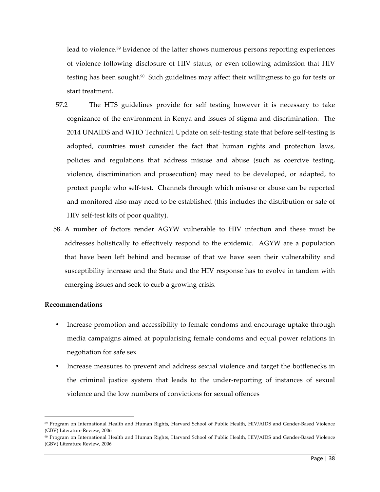lead to violence.89 Evidence of the latter shows numerous persons reporting experiences of violence following disclosure of HIV status, or even following admission that HIV testing has been sought. $90$  Such guidelines may affect their willingness to go for tests or start treatment.

- 57.2 The HTS guidelines provide for self testing however it is necessary to take cognizance of the environment in Kenya and issues of stigma and discrimination. The 2014 UNAIDS and WHO Technical Update on self-testing state that before self-testing is adopted, countries must consider the fact that human rights and protection laws, policies and regulations that address misuse and abuse (such as coercive testing, violence, discrimination and prosecution) may need to be developed, or adapted, to protect people who self-test. Channels through which misuse or abuse can be reported and monitored also may need to be established (this includes the distribution or sale of HIV self-test kits of poor quality).
- 58. A number of factors render AGYW vulnerable to HIV infection and these must be addresses holistically to effectively respond to the epidemic. AGYW are a population that have been left behind and because of that we have seen their vulnerability and susceptibility increase and the State and the HIV response has to evolve in tandem with emerging issues and seek to curb a growing crisis.

#### **Recommendations**

- Increase promotion and accessibility to female condoms and encourage uptake through media campaigns aimed at popularising female condoms and equal power relations in negotiation for safe sex
- Increase measures to prevent and address sexual violence and target the bottlenecks in the criminal justice system that leads to the under-reporting of instances of sexual violence and the low numbers of convictions for sexual offences

 <sup>89</sup> Program on International Health and Human Rights, Harvard School of Public Health, HIV/AIDS and Gender-Based Violence (GBV) Literature Review, 2006

<sup>90</sup> Program on International Health and Human Rights, Harvard School of Public Health, HIV/AIDS and Gender-Based Violence (GBV) Literature Review, 2006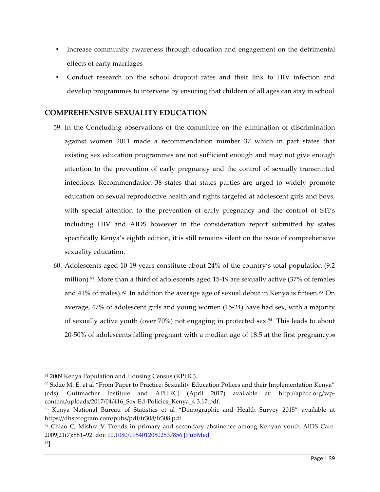- Increase community awareness through education and engagement on the detrimental effects of early marriages
- Conduct research on the school dropout rates and their link to HIV infection and develop programmes to intervene by ensuring that children of all ages can stay in school

# **COMPREHENSIVE SEXUALITY EDUCATION**

- 59. In the Concluding observations of the committee on the elimination of discrimination against women 2011 made a recommendation number 37 which in part states that existing sex education programmes are not sufficient enough and may not give enough attention to the prevention of early pregnancy and the control of sexually transmitted infections. Recommendation 38 states that states parties are urged to widely promote education on sexual reproductive health and rights targeted at adolescent girls and boys, with special attention to the prevention of early pregnancy and the control of STI's including HIV and AIDS however in the consideration report submitted by states specifically Kenya's eighth edition, it is still remains silent on the issue of comprehensive sexuality education.
- 60. Adolescents aged 10-19 years constitute about 24% of the country's total population (9.2 million).<sup>91</sup> More than a third of adolescents aged 15-19 are sexually active (37% of females and  $41\%$  of males).<sup>92</sup> In addition the average age of sexual debut in Kenya is fifteen.<sup>93</sup> On average, 47% of adolescent girls and young women (15-24) have had sex, with a majority of sexually active youth (over  $70\%$ ) not engaging in protected sex.<sup>94</sup> This leads to about 20-50% of adolescents falling pregnant with a median age of 18.5 at the first pregnancy.95

<sup>91 2009</sup> Kenya Population and Housing Census (KPHC).

<sup>92</sup> Sidze M. E. et al "From Paper to Practice: Sexuality Education Polices and their Implementation Kenya" (eds): Guttmacher Institute and APHRC) (April 2017) available at: http://aphrc.org/wpcontent/uploads/2017/04/416\_Sex-Ed-Policies\_Kenya\_4.3.17.pdf.

<sup>93</sup> Kenya National Bureau of Statistics et al "Demographic and Health Survey 2015" available at https://dhsprogram.com/pubs/pdf/fr308/fr308.pdf.

<sup>94</sup> Chiao C, Mishra V. Trends in primary and secondary abstinence among Kenyan youth. AIDS Care. 2009;21(7):881–92. doi: 10.1080/09540120802537856 [PubMed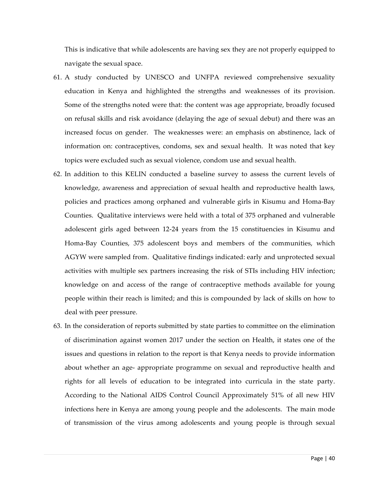This is indicative that while adolescents are having sex they are not properly equipped to navigate the sexual space.

- 61. A study conducted by UNESCO and UNFPA reviewed comprehensive sexuality education in Kenya and highlighted the strengths and weaknesses of its provision. Some of the strengths noted were that: the content was age appropriate, broadly focused on refusal skills and risk avoidance (delaying the age of sexual debut) and there was an increased focus on gender. The weaknesses were: an emphasis on abstinence, lack of information on: contraceptives, condoms, sex and sexual health. It was noted that key topics were excluded such as sexual violence, condom use and sexual health.
- 62. In addition to this KELIN conducted a baseline survey to assess the current levels of knowledge, awareness and appreciation of sexual health and reproductive health laws, policies and practices among orphaned and vulnerable girls in Kisumu and Homa-Bay Counties. Qualitative interviews were held with a total of 375 orphaned and vulnerable adolescent girls aged between 12-24 years from the 15 constituencies in Kisumu and Homa-Bay Counties, 375 adolescent boys and members of the communities, which AGYW were sampled from. Qualitative findings indicated: early and unprotected sexual activities with multiple sex partners increasing the risk of STIs including HIV infection; knowledge on and access of the range of contraceptive methods available for young people within their reach is limited; and this is compounded by lack of skills on how to deal with peer pressure.
- 63. In the consideration of reports submitted by state parties to committee on the elimination of discrimination against women 2017 under the section on Health, it states one of the issues and questions in relation to the report is that Kenya needs to provide information about whether an age- appropriate programme on sexual and reproductive health and rights for all levels of education to be integrated into curricula in the state party. According to the National AIDS Control Council Approximately 51% of all new HIV infections here in Kenya are among young people and the adolescents. The main mode of transmission of the virus among adolescents and young people is through sexual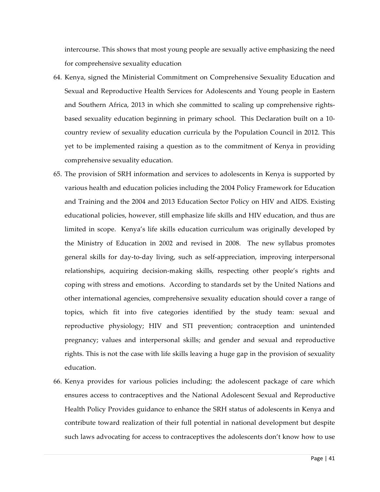intercourse. This shows that most young people are sexually active emphasizing the need for comprehensive sexuality education

- 64. Kenya, signed the Ministerial Commitment on Comprehensive Sexuality Education and Sexual and Reproductive Health Services for Adolescents and Young people in Eastern and Southern Africa, 2013 in which she committed to scaling up comprehensive rightsbased sexuality education beginning in primary school. This Declaration built on a 10 country review of sexuality education curricula by the Population Council in 2012. This yet to be implemented raising a question as to the commitment of Kenya in providing comprehensive sexuality education.
- 65. The provision of SRH information and services to adolescents in Kenya is supported by various health and education policies including the 2004 Policy Framework for Education and Training and the 2004 and 2013 Education Sector Policy on HIV and AIDS. Existing educational policies, however, still emphasize life skills and HIV education, and thus are limited in scope. Kenya's life skills education curriculum was originally developed by the Ministry of Education in 2002 and revised in 2008. The new syllabus promotes general skills for day-to-day living, such as self-appreciation, improving interpersonal relationships, acquiring decision-making skills, respecting other people's rights and coping with stress and emotions. According to standards set by the United Nations and other international agencies, comprehensive sexuality education should cover a range of topics, which fit into five categories identified by the study team: sexual and reproductive physiology; HIV and STI prevention; contraception and unintended pregnancy; values and interpersonal skills; and gender and sexual and reproductive rights. This is not the case with life skills leaving a huge gap in the provision of sexuality education.
- 66. Kenya provides for various policies including; the adolescent package of care which ensures access to contraceptives and the National Adolescent Sexual and Reproductive Health Policy Provides guidance to enhance the SRH status of adolescents in Kenya and contribute toward realization of their full potential in national development but despite such laws advocating for access to contraceptives the adolescents don't know how to use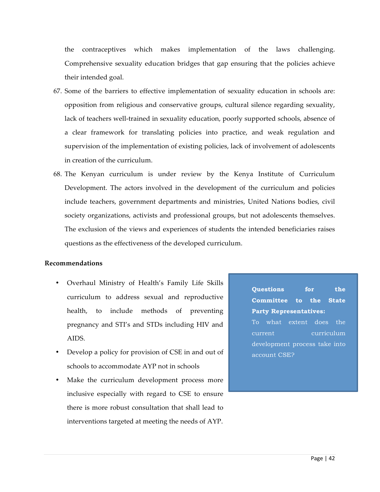the contraceptives which makes implementation of the laws challenging. Comprehensive sexuality education bridges that gap ensuring that the policies achieve their intended goal.

- 67. Some of the barriers to effective implementation of sexuality education in schools are: opposition from religious and conservative groups, cultural silence regarding sexuality, lack of teachers well-trained in sexuality education, poorly supported schools, absence of a clear framework for translating policies into practice, and weak regulation and supervision of the implementation of existing policies, lack of involvement of adolescents in creation of the curriculum.
- 68. The Kenyan curriculum is under review by the Kenya Institute of Curriculum Development. The actors involved in the development of the curriculum and policies include teachers, government departments and ministries, United Nations bodies, civil society organizations, activists and professional groups, but not adolescents themselves. The exclusion of the views and experiences of students the intended beneficiaries raises questions as the effectiveness of the developed curriculum.

#### **Recommendations**

- Overhaul Ministry of Health's Family Life Skills curriculum to address sexual and reproductive health, to include methods of preventing pregnancy and STI's and STDs including HIV and AIDS.
- Develop a policy for provision of CSE in and out of schools to accommodate AYP not in schools
- Make the curriculum development process more inclusive especially with regard to CSE to ensure there is more robust consultation that shall lead to interventions targeted at meeting the needs of AYP.

**Questions for the Committee to the State Party Representatives:** To what extent does the current curriculum development process take into account CSE?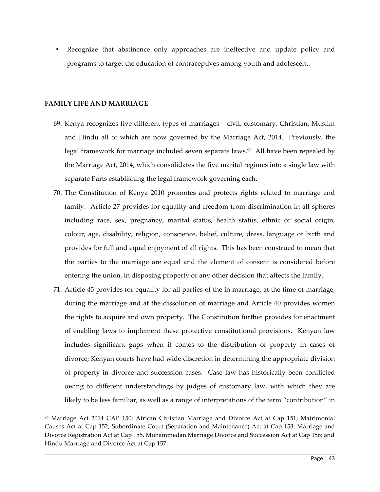• Recognize that abstinence only approaches are ineffective and update policy and programs to target the education of contraceptives among youth and adolescent.

#### **FAMILY LIFE AND MARRIAGE**

l

- 69. Kenya recognizes five different types of marriages civil, customary, Christian, Muslim and Hindu all of which are now governed by the Marriage Act, 2014. Previously, the legal framework for marriage included seven separate laws.<sup>96</sup> All have been repealed by the Marriage Act, 2014, which consolidates the five marital regimes into a single law with separate Parts establishing the legal framework governing each.
- 70. The Constitution of Kenya 2010 promotes and protects rights related to marriage and family. Article 27 provides for equality and freedom from discrimination in all spheres including race, sex, pregnancy, marital status, health status, ethnic or social origin, colour, age, disability, religion, conscience, belief, culture, dress, language or birth and provides for full and equal enjoyment of all rights. This has been construed to mean that the parties to the marriage are equal and the element of consent is considered before entering the union, in disposing property or any other decision that affects the family.
- 71. Article 45 provides for equality for all parties of the in marriage, at the time of marriage, during the marriage and at the dissolution of marriage and Article 40 provides women the rights to acquire and own property. The Constitution further provides for enactment of enabling laws to implement these protective constitutional provisions. Kenyan law includes significant gaps when it comes to the distribution of property in cases of divorce; Kenyan courts have had wide discretion in determining the appropriate division of property in divorce and succession cases. Case law has historically been conflicted owing to different understandings by judges of customary law, with which they are likely to be less familiar, as well as a range of interpretations of the term "contribution" in

<sup>96</sup> Marriage Act 2014 CAP 150: African Christian Marriage and Divorce Act at Cap 151; Matrimonial Causes Act at Cap 152; Subordinate Court (Separation and Maintenance) Act at Cap 153; Marriage and Divorce Registration Act at Cap 155, Mohammedan Marriage Divorce and Succession Act at Cap 156; and Hindu Marriage and Divorce Act at Cap 157.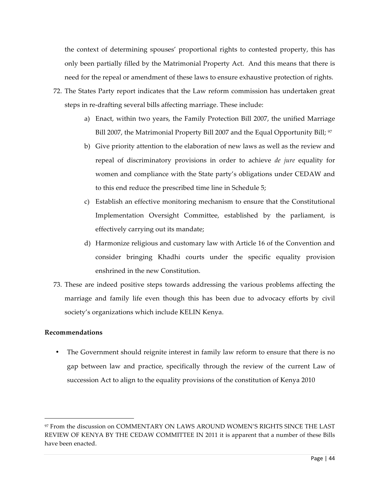the context of determining spouses' proportional rights to contested property, this has only been partially filled by the Matrimonial Property Act. And this means that there is need for the repeal or amendment of these laws to ensure exhaustive protection of rights.

- 72. The States Party report indicates that the Law reform commission has undertaken great steps in re-drafting several bills affecting marriage. These include:
	- a) Enact, within two years, the Family Protection Bill 2007, the unified Marriage Bill 2007, the Matrimonial Property Bill 2007 and the Equal Opportunity Bill; <sup>97</sup>
	- b) Give priority attention to the elaboration of new laws as well as the review and repeal of discriminatory provisions in order to achieve *de jure* equality for women and compliance with the State party's obligations under CEDAW and to this end reduce the prescribed time line in Schedule 5;
	- c) Establish an effective monitoring mechanism to ensure that the Constitutional Implementation Oversight Committee, established by the parliament, is effectively carrying out its mandate;
	- d) Harmonize religious and customary law with Article 16 of the Convention and consider bringing Khadhi courts under the specific equality provision enshrined in the new Constitution.
- 73. These are indeed positive steps towards addressing the various problems affecting the marriage and family life even though this has been due to advocacy efforts by civil society's organizations which include KELIN Kenya.

#### **Recommendations**

 $\overline{a}$ 

• The Government should reignite interest in family law reform to ensure that there is no gap between law and practice, specifically through the review of the current Law of succession Act to align to the equality provisions of the constitution of Kenya 2010

<sup>97</sup> From the discussion on COMMENTARY ON LAWS AROUND WOMEN'S RIGHTS SINCE THE LAST REVIEW OF KENYA BY THE CEDAW COMMITTEE IN 2011 it is apparent that a number of these Bills have been enacted.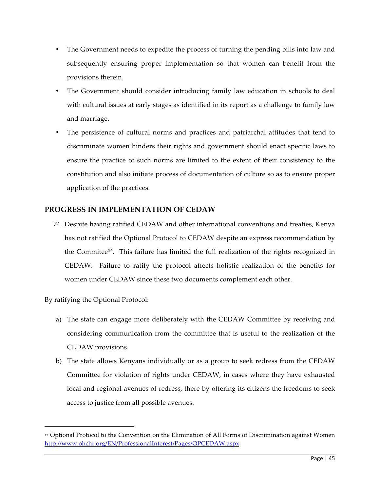- The Government needs to expedite the process of turning the pending bills into law and subsequently ensuring proper implementation so that women can benefit from the provisions therein.
- The Government should consider introducing family law education in schools to deal with cultural issues at early stages as identified in its report as a challenge to family law and marriage.
- The persistence of cultural norms and practices and patriarchal attitudes that tend to discriminate women hinders their rights and government should enact specific laws to ensure the practice of such norms are limited to the extent of their consistency to the constitution and also initiate process of documentation of culture so as to ensure proper application of the practices.

# **PROGRESS IN IMPLEMENTATION OF CEDAW**

74. Despite having ratified CEDAW and other international conventions and treaties, Kenya has not ratified the Optional Protocol to CEDAW despite an express recommendation by the Commitee<sup>98</sup>. This failure has limited the full realization of the rights recognized in CEDAW. Failure to ratify the protocol affects holistic realization of the benefits for women under CEDAW since these two documents complement each other.

By ratifying the Optional Protocol:

- a) The state can engage more deliberately with the CEDAW Committee by receiving and considering communication from the committee that is useful to the realization of the CEDAW provisions.
- b) The state allows Kenyans individually or as a group to seek redress from the CEDAW Committee for violation of rights under CEDAW, in cases where they have exhausted local and regional avenues of redress, there-by offering its citizens the freedoms to seek access to justice from all possible avenues.

<sup>98</sup> Optional Protocol to the Convention on the Elimination of All Forms of Discrimination against Women http://www.ohchr.org/EN/ProfessionalInterest/Pages/OPCEDAW.aspx